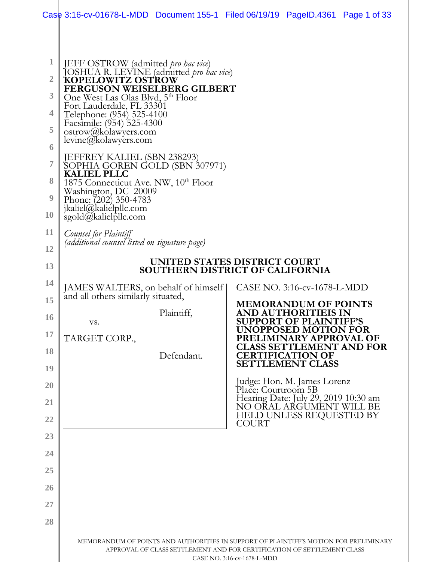|                | Case 3:16-cv-01678-L-MDD Document 155-1 Filed 06/19/19 PageID.4361 Page 1 of 33                      |                                                                        |                             |                                                                                  |  |  |  |
|----------------|------------------------------------------------------------------------------------------------------|------------------------------------------------------------------------|-----------------------------|----------------------------------------------------------------------------------|--|--|--|
|                |                                                                                                      |                                                                        |                             |                                                                                  |  |  |  |
| 1              |                                                                                                      |                                                                        |                             |                                                                                  |  |  |  |
| $\overline{2}$ | JEFF OSTROW (admitted pro hac vice)<br>JOSHUA R. LEVINE (admitted pro hac vice)<br>KOPELOWITZ OSTROW |                                                                        |                             |                                                                                  |  |  |  |
| 3              | FERGUSON WEISELBERG GILBERT<br>One West Las Olas Blvd, 5th Floor                                     |                                                                        |                             |                                                                                  |  |  |  |
| 4              | Fort Lauderdale, FL 33301                                                                            |                                                                        |                             |                                                                                  |  |  |  |
| 5              | Telephone: (954) 525-4100<br>Facsimile: (954) 525-4300<br>ostrow@kolawyers.com                       |                                                                        |                             |                                                                                  |  |  |  |
| 6              | levine@kolawyers.com                                                                                 |                                                                        |                             |                                                                                  |  |  |  |
| $\overline{7}$ | JEFFREY KALIEL (SBN 238293)<br>SOPHIA GOREN GOLD (SBN 307971)<br><b>KALIEL PLLC</b>                  |                                                                        |                             |                                                                                  |  |  |  |
| 8              | 1875 Connecticut Ave. NW, 10 <sup>th</sup> Floor<br>Washington, DC 20009                             |                                                                        |                             |                                                                                  |  |  |  |
| 9              | Phone: (202) 350-4783<br>jkaliel@kalielpllc.com                                                      |                                                                        |                             |                                                                                  |  |  |  |
| 10             | sgold@kalielpllc.com                                                                                 |                                                                        |                             |                                                                                  |  |  |  |
| 11             | Counsel for Plaintiff<br>(additional counsel listed on signature page)                               |                                                                        |                             |                                                                                  |  |  |  |
| 12             | UNITED STATES DISTRICT COURT                                                                         |                                                                        |                             |                                                                                  |  |  |  |
| 13<br>14       |                                                                                                      | <b>SOUTHERN DISTRICT OF CALIFORNIA</b>                                 |                             |                                                                                  |  |  |  |
| 15             | JAMES WALTERS, on behalf of himself<br>and all others similarly situated,                            |                                                                        |                             | CASE NO. 3:16-cv-1678-L-MDD                                                      |  |  |  |
| <b>16</b>      |                                                                                                      | Plaintiff,                                                             |                             | <b>MEMORANDUM OF POINTS</b><br><b>AND AUTHORITIEIS IN</b>                        |  |  |  |
| 17             | VS.<br>TARGET CORP.,                                                                                 |                                                                        |                             | <b>SUPPORT OF PLAINTIFF'S</b><br>UNOPPOSED MOTION FOR<br>PRELIMINARY APPROVAL OF |  |  |  |
| 18             |                                                                                                      | Defendant.                                                             |                             | <b>CLASS SETTLEMENT AND FOR</b><br><b>CERTIFICATION OF</b>                       |  |  |  |
| 19             |                                                                                                      |                                                                        |                             | <b>SETTLEMENT CLASS</b>                                                          |  |  |  |
| 20             |                                                                                                      |                                                                        | Place: Courtroom 5B         | Judge: Hon. M. James Lorenz                                                      |  |  |  |
| 21             |                                                                                                      |                                                                        |                             | Hearing Date: July 29, 2019 10:30 am<br>NO ORAL ARGUMENT WILL BE                 |  |  |  |
| 22             | HELD UNLESS REQUESTED BY<br><b>COURT</b>                                                             |                                                                        |                             |                                                                                  |  |  |  |
| 23             |                                                                                                      |                                                                        |                             |                                                                                  |  |  |  |
| 24             |                                                                                                      |                                                                        |                             |                                                                                  |  |  |  |
| 25             |                                                                                                      |                                                                        |                             |                                                                                  |  |  |  |
| 26             |                                                                                                      |                                                                        |                             |                                                                                  |  |  |  |
| 27             |                                                                                                      |                                                                        |                             |                                                                                  |  |  |  |
| 28             |                                                                                                      |                                                                        |                             |                                                                                  |  |  |  |
|                | MEMORANDUM OF POINTS AND AUTHORITIES IN SUPPORT OF PLAINTIFF'S MOTION FOR PRELIMINARY                | APPROVAL OF CLASS SETTLEMENT AND FOR CERTIFICATION OF SETTLEMENT CLASS | CASE NO. 3:16-cv-1678-L-MDD |                                                                                  |  |  |  |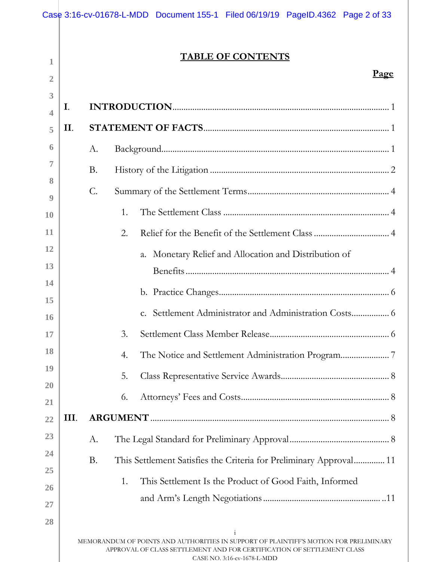|                          |      | Case 3:16-cv-01678-L-MDD Document 155-1 Filed 06/19/19 PageID.4362 Page 2 of 33                                                                                                                                |
|--------------------------|------|----------------------------------------------------------------------------------------------------------------------------------------------------------------------------------------------------------------|
|                          |      |                                                                                                                                                                                                                |
| 1                        |      | <b>TABLE OF CONTENTS</b>                                                                                                                                                                                       |
| 2                        |      | <u>Page</u>                                                                                                                                                                                                    |
| 3                        |      |                                                                                                                                                                                                                |
| $\overline{\mathcal{A}}$ | I.   |                                                                                                                                                                                                                |
| 5                        | II.  |                                                                                                                                                                                                                |
| 6                        |      | A.                                                                                                                                                                                                             |
| 7                        |      | <b>B.</b>                                                                                                                                                                                                      |
| 8                        |      | $\mathcal{C}$ .                                                                                                                                                                                                |
| 9                        |      | 1.                                                                                                                                                                                                             |
| 10<br>11                 |      |                                                                                                                                                                                                                |
| 12                       |      | 2.                                                                                                                                                                                                             |
| 13                       |      | a. Monetary Relief and Allocation and Distribution of                                                                                                                                                          |
| 14                       |      |                                                                                                                                                                                                                |
| 15                       |      |                                                                                                                                                                                                                |
| <b>16</b>                |      |                                                                                                                                                                                                                |
| 17                       |      | 3.                                                                                                                                                                                                             |
| 18                       |      | 4.                                                                                                                                                                                                             |
| 19                       |      | 5.                                                                                                                                                                                                             |
| 20                       |      | 6.                                                                                                                                                                                                             |
| 21                       |      |                                                                                                                                                                                                                |
| 22                       | III. |                                                                                                                                                                                                                |
| 23                       |      | A.                                                                                                                                                                                                             |
| 24<br>25                 |      | <b>B.</b><br>This Settlement Satisfies the Criteria for Preliminary Approval 11                                                                                                                                |
| 26                       |      | 1.<br>This Settlement Is the Product of Good Faith, Informed                                                                                                                                                   |
| 27                       |      |                                                                                                                                                                                                                |
| 28                       |      |                                                                                                                                                                                                                |
|                          |      | $\mathbf{i}$<br>MEMORANDUM OF POINTS AND AUTHORITIES IN SUPPORT OF PLAINTIFF'S MOTION FOR PRELIMINARY<br>APPROVAL OF CLASS SETTLEMENT AND FOR CERTIFICATION OF SETTLEMENT CLASS<br>CASE NO. 3:16-cv-1678-L-MDD |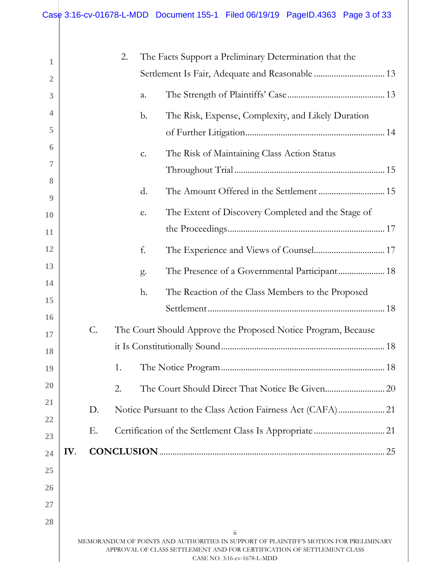| 1              |     |    | 2. |    | The Facts Support a Preliminary Determination that the                                                                                                                                                              |  |
|----------------|-----|----|----|----|---------------------------------------------------------------------------------------------------------------------------------------------------------------------------------------------------------------------|--|
| $\overline{2}$ |     |    |    |    |                                                                                                                                                                                                                     |  |
| 3              |     |    |    | a. |                                                                                                                                                                                                                     |  |
| 4              |     |    |    | b. | The Risk, Expense, Complexity, and Likely Duration                                                                                                                                                                  |  |
| 5              |     |    |    |    |                                                                                                                                                                                                                     |  |
| 6              |     |    |    | c. | The Risk of Maintaining Class Action Status                                                                                                                                                                         |  |
| 7              |     |    |    |    |                                                                                                                                                                                                                     |  |
| 8<br>9         |     |    |    | d. | The Amount Offered in the Settlement  15                                                                                                                                                                            |  |
| 10             |     |    |    | e. | The Extent of Discovery Completed and the Stage of                                                                                                                                                                  |  |
| 11             |     |    |    |    |                                                                                                                                                                                                                     |  |
| 12             |     |    |    | f. |                                                                                                                                                                                                                     |  |
| 13             |     |    |    | g. | The Presence of a Governmental Participant 18                                                                                                                                                                       |  |
| 14             |     |    |    | h. | The Reaction of the Class Members to the Proposed                                                                                                                                                                   |  |
| 15             |     |    |    |    |                                                                                                                                                                                                                     |  |
| 16             |     | C. |    |    | The Court Should Approve the Proposed Notice Program, Because                                                                                                                                                       |  |
| 17             |     |    |    |    |                                                                                                                                                                                                                     |  |
| 18             |     |    |    |    |                                                                                                                                                                                                                     |  |
| 19             |     |    |    |    |                                                                                                                                                                                                                     |  |
| 20<br>21       |     |    | 2. |    |                                                                                                                                                                                                                     |  |
| 22             |     | D. |    |    |                                                                                                                                                                                                                     |  |
| 23             |     | Е. |    |    |                                                                                                                                                                                                                     |  |
| 24             | IV. |    |    |    |                                                                                                                                                                                                                     |  |
| 25             |     |    |    |    |                                                                                                                                                                                                                     |  |
| 26             |     |    |    |    |                                                                                                                                                                                                                     |  |
| 27             |     |    |    |    |                                                                                                                                                                                                                     |  |
| 28             |     |    |    |    |                                                                                                                                                                                                                     |  |
|                |     |    |    |    | $\dddot{\rm{ii}}$<br>MEMORANDUM OF POINTS AND AUTHORITIES IN SUPPORT OF PLAINTIFF'S MOTION FOR PRELIMINARY<br>APPROVAL OF CLASS SETTLEMENT AND FOR CERTIFICATION OF SETTLEMENT CLASS<br>CASE NO. 3:16-cv-1678-L-MDD |  |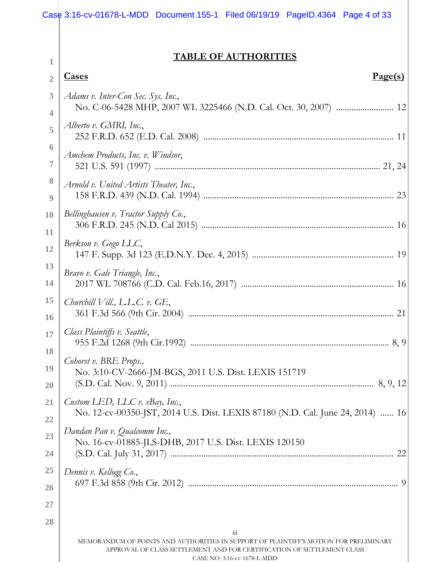# **TABLE OF AUTHORITIES**

| 1                        | TADLE OF AUTHUNITIES                                                                                                                                                                                                   |  |
|--------------------------|------------------------------------------------------------------------------------------------------------------------------------------------------------------------------------------------------------------------|--|
| $\overline{2}$           | <b>Cases</b><br><u>Page(s)</u>                                                                                                                                                                                         |  |
| 3                        | Adams v. Inter-Con Sec. Sys. Inc.,<br>No. C-06-5428 MHP, 2007 WL 3225466 (N.D. Cal. Oct. 30, 2007)  12<br>4                                                                                                            |  |
|                          |                                                                                                                                                                                                                        |  |
| 5                        | Alberto v. GMRI, Inc.,                                                                                                                                                                                                 |  |
| $\ddot{\mathbf{0}}$<br>7 | Amchem Products, Inc. v. Windsor,                                                                                                                                                                                      |  |
| 8<br>9                   | Arnold v. United Artists Theater, Inc.,                                                                                                                                                                                |  |
| <b>10</b><br>11          | Bellinghausen v. Tractor Supply Co.,                                                                                                                                                                                   |  |
| 12                       | Berkson v. Gogo LLC,                                                                                                                                                                                                   |  |
| 13<br>14                 | Bravo v. Gale Triangle, Inc.,                                                                                                                                                                                          |  |
| <b>15</b><br><b>16</b>   | Churchill Vill., L.L.C. v. $GE$ ,                                                                                                                                                                                      |  |
| 17                       | Class Plaintiffs v. Seattle,                                                                                                                                                                                           |  |
| <b>18</b><br>19<br>20    | Cohorst v. BRE Props.,<br>No. 3:10-CV-2666-JM-BGS, 2011 U.S. Dist. LEXIS 151719                                                                                                                                        |  |
| 21                       | Custom LED, LLC v. eBay, Inc.,<br>No. 12-cv-00350-JST, 2014 U.S. Dist. LEXIS 87180 (N.D. Cal. June 24, 2014)  16                                                                                                       |  |
| 22<br>23                 | Dandan Pan v. Qualcomm Inc.,<br>No. 16-cv-01885-JLS-DHB, 2017 U.S. Dist. LEXIS 120150                                                                                                                                  |  |
| 24                       |                                                                                                                                                                                                                        |  |
| 25<br>26                 | Dennis v. Kellogg Co.,                                                                                                                                                                                                 |  |
| <u>27</u>                |                                                                                                                                                                                                                        |  |
| 28                       |                                                                                                                                                                                                                        |  |
|                          | $\dddot{\mathbf{m}}$<br>MEMORANDUM OF POINTS AND AUTHORITIES IN SUPPORT OF PLAINTIFF'S MOTION FOR PRELIMINARY<br>APPROVAL OF CLASS SETTLEMENT AND FOR CERTIFICATION OF SETTLEMENT CLASS<br>CASE NO. 3:16-cv-1678-L-MDD |  |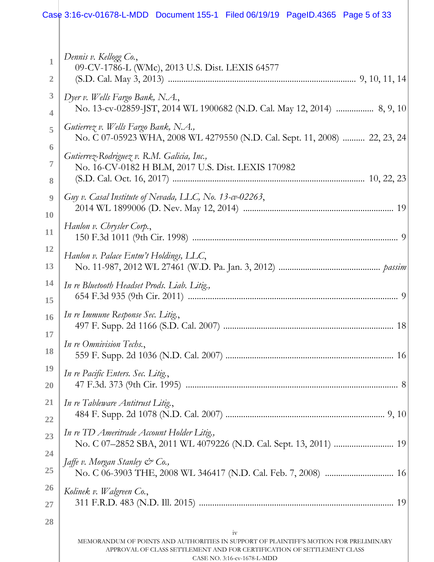#### iv MEMORANDUM OF POINTS AND AUTHORITIES IN SUPPORT OF PLAINTIFF'S MOTION FOR PRELIMINARY APPROVAL OF CLASS SETTLEMENT AND FOR CERTIFICATION OF SETTLEMENT CLASS **1 2 3 4 5 6 7 8 9 10 11 12 13 14 15 16 17 18 19 20 21 22 23 24 25 26 27 28** *Dennis v. Kellogg Co.*, 09-CV-1786-L (WMc), 2013 U.S. Dist. LEXIS 64577 (S.D. Cal. May 3, 2013) ..................................................................................... 9, 10, 11, 14 *Dyer v. Wells Fargo Bank, N.A.*, No. 13-cv-02859-JST, 2014 WL 1900682 (N.D. Cal. May 12, 2014) ................. 8, 9, 10 *Gutierrez v. Wells Fargo Bank, N.A.,*  No. C 07-05923 WHA, 2008 WL 4279550 (N.D. Cal. Sept. 11, 2008) .......... 22, 23, 24 *Gutierrez-Rodriguez v. R.M. Galicia, Inc.,*  No. 16-CV-0182 H BLM, 2017 U.S. Dist. LEXIS 170982 (S.D. Cal. Oct. 16, 2017) ....................................................................................... 10, 22, 23 *Guy v. Casal Institute of Nevada, LLC, No. 13-cv-02263*, 2014 WL 1899006 (D. Nev. May 12, 2014) .................................................................... 19 *Hanlon v. Chrysler Corp.*, 150 F.3d 1011 (9th Cir. 1998) ............................................................................................. 9 *Hanlon v. Palace Entm't Holdings, LLC*, No. 11-987, 2012 WL 27461 (W.D. Pa. Jan. 3, 2012) .............................................. *passim In re Bluetooth Headset Prods. Liab. Litig.,* 654 F.3d 935 (9th Cir. 2011) ............................................................................................... 9 *In re Immune Response Sec. Litig.*, 497 F. Supp. 2d 1166 (S.D. Cal. 2007) ............................................................................. 18 *In re Omnivision Techs.*, 559 F. Supp. 2d 1036 (N.D. Cal. 2007) ............................................................................ 16 *In re Pacific Enters. Sec. Litig.*, 47 F.3d. 373 (9th Cir. 1995) ................................................................................................ 8 *In re Tableware Antitrust Litig.*, 484 F. Supp. 2d 1078 (N.D. Cal. 2007) ........................................................................ 9, 10 *In re TD Ameritrade Account Holder Litig.,*  No. C 07–2852 SBA, 2011 WL 4079226 (N.D. Cal. Sept. 13, 2011) ........................... 19 *Jaffe v. Morgan Stanley & Co.,*  No. C 06-3903 THE, 2008 WL 346417 (N.D. Cal. Feb. 7, 2008) ............................... 16 *Kolinek v. Walgreen Co.*, 311 F.R.D. 483 (N.D. Ill. 2015) ........................................................................................ 19 Case 3:16-cv-01678-L-MDD Document 155-1 Filed 06/19/19 PageID.4365 Page 5 of 33

CASE NO. 3:16-cv-1678-L-MDD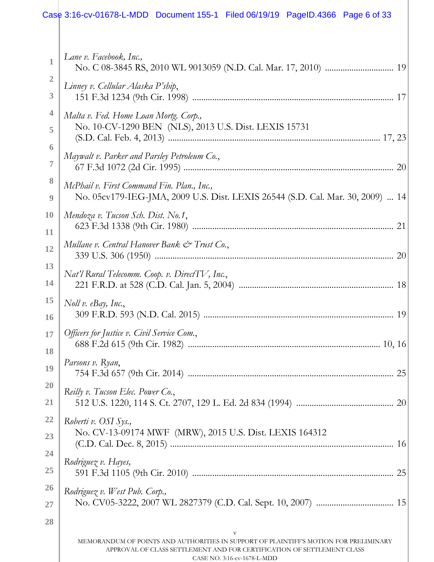# Case 3:16-cv-01678-L-MDD Document 155-1 Filed 06/19/19 PageID.4366 Page 6 of 33

| 1                      | Lane v. Facebook, Inc.,                                                                                                                                                                        |  |
|------------------------|------------------------------------------------------------------------------------------------------------------------------------------------------------------------------------------------|--|
| $\overline{2}$<br>3    | Linney v. Cellular Alaska P'ship,                                                                                                                                                              |  |
| 4                      | Malta v. Fed. Home Loan Mortg. Corp.,                                                                                                                                                          |  |
| 5                      | No. 10-CV-1290 BEN (NLS), 2013 U.S. Dist. LEXIS 15731                                                                                                                                          |  |
| 6<br>7                 | Maywalt v. Parker and Parsley Petroleum Co.,                                                                                                                                                   |  |
| 8<br>9                 | McPhail v. First Command Fin. Plan., Inc.,<br>No. 05cv179-IEG-JMA, 2009 U.S. Dist. LEXIS 26544 (S.D. Cal. Mar. 30, 2009)  14                                                                   |  |
| <b>10</b><br>11        | Mendoza v. Tucson Sch. Dist. No.1,                                                                                                                                                             |  |
| 12                     | Mullane v. Central Hanover Bank & Trust Co.,                                                                                                                                                   |  |
| 13<br>14               | Nat'l Rural Telecomm. Coop. v. DirectTV, Inc.,                                                                                                                                                 |  |
| <b>15</b><br><b>16</b> | Noll v. $e$ Bay, Inc.,                                                                                                                                                                         |  |
| 17                     | Officers for Justice v. Civil Service Com.,                                                                                                                                                    |  |
| 18<br>19               | Parsons v. Ryan,<br>25                                                                                                                                                                         |  |
| <b>20</b><br>21        | Reilly v. Tucson Elec. Power Co.,                                                                                                                                                              |  |
| <u>22</u><br>23        | Roberti v. OSI Sys.,<br>No. CV-13-09174 MWF (MRW), 2015 U.S. Dist. LEXIS 164312                                                                                                                |  |
| 24                     |                                                                                                                                                                                                |  |
| 25                     | Rodriguez v. Hayes,                                                                                                                                                                            |  |
| <b>26</b>              | Rodriguez v. West Pub. Corp.,                                                                                                                                                                  |  |
| 27                     |                                                                                                                                                                                                |  |
| 28                     | V                                                                                                                                                                                              |  |
|                        | MEMORANDUM OF POINTS AND AUTHORITIES IN SUPPORT OF PLAINTIFF'S MOTION FOR PRELIMINARY<br>APPROVAL OF CLASS SETTLEMENT AND FOR CERTIFICATION OF SETTLEMENT CLASS<br>CASE NO. 3:16-cv-1678-L-MDD |  |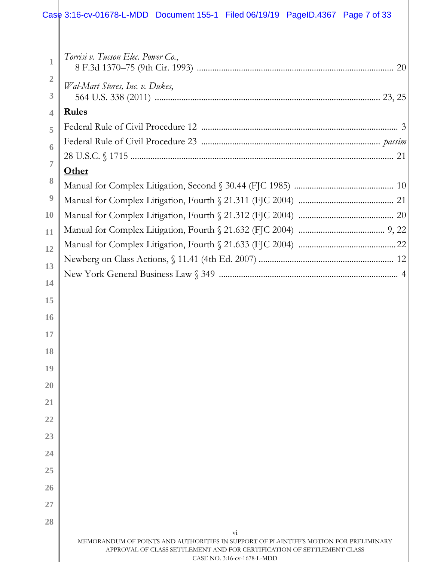### Case 3:16-cv-01678-L-MDD Document 155-1 Filed 06/19/19 PageID.4367 Page 7 of 33

| $\mathbf{1}$     | Torrisi v. Tucson Elec. Power Co.,                                                                                                                                                          |  |
|------------------|---------------------------------------------------------------------------------------------------------------------------------------------------------------------------------------------|--|
| $\overline{2}$   |                                                                                                                                                                                             |  |
| 3                | Wal-Mart Stores, Inc. v. Dukes,                                                                                                                                                             |  |
| $\overline{4}$   | <b>Rules</b>                                                                                                                                                                                |  |
| 5                |                                                                                                                                                                                             |  |
| 6                |                                                                                                                                                                                             |  |
|                  |                                                                                                                                                                                             |  |
| $\overline{7}$   | Other                                                                                                                                                                                       |  |
| 8                |                                                                                                                                                                                             |  |
| $\boldsymbol{9}$ |                                                                                                                                                                                             |  |
| 10               |                                                                                                                                                                                             |  |
| 11               |                                                                                                                                                                                             |  |
| 12               |                                                                                                                                                                                             |  |
|                  |                                                                                                                                                                                             |  |
| 13               |                                                                                                                                                                                             |  |
| 14               |                                                                                                                                                                                             |  |
| 15               |                                                                                                                                                                                             |  |
| 16               |                                                                                                                                                                                             |  |
| 17               |                                                                                                                                                                                             |  |
| 18               |                                                                                                                                                                                             |  |
| 19               |                                                                                                                                                                                             |  |
|                  |                                                                                                                                                                                             |  |
| 20               |                                                                                                                                                                                             |  |
| 21               |                                                                                                                                                                                             |  |
| 22               |                                                                                                                                                                                             |  |
| 23               |                                                                                                                                                                                             |  |
| 24               |                                                                                                                                                                                             |  |
| 25               |                                                                                                                                                                                             |  |
|                  |                                                                                                                                                                                             |  |
| 26               |                                                                                                                                                                                             |  |
| 27               |                                                                                                                                                                                             |  |
| 28               |                                                                                                                                                                                             |  |
|                  | $\overline{\mathrm{vi}}$<br>MEMORANDUM OF POINTS AND AUTHORITIES IN SUPPORT OF PLAINTIFF'S MOTION FOR PRELIMINARY<br>APPROVAL OF CLASS SETTLEMENT AND FOR CERTIFICATION OF SETTLEMENT CLASS |  |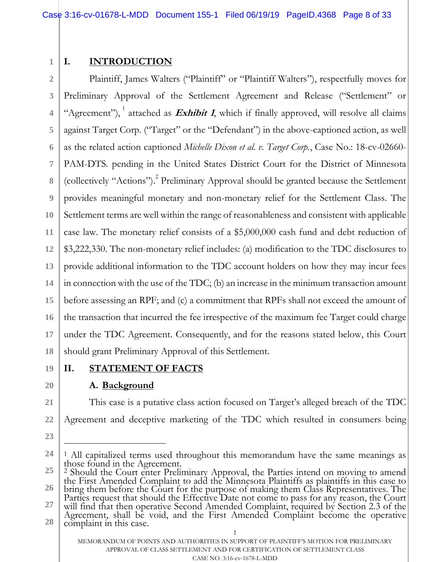#### **1 I. INTRODUCTION**

**2 3 4 5 6 7 8 9 10 11 12 13 14 15 16 17 18** Plaintiff, James Walters ("Plaintiff" or "Plaintiff Walters"), respectfully moves for Preliminary Approval of the Settlement Agreement and Release ("Settlement" or "Agreement"), <sup>1</sup> attached as *Exhibit 1*, which if finally approved, will resolve all claims against Target Corp. ("Target" or the "Defendant") in the above-captioned action, as well as the related action captioned *Michelle Dixon et al. v. Target Corp.*, Case No.: 18-cv-02660- PAM-DTS. pending in the United States District Court for the District of Minnesota (collectively "Actions"). 2 Preliminary Approval should be granted because the Settlement provides meaningful monetary and non-monetary relief for the Settlement Class. The Settlement terms are well within the range of reasonableness and consistent with applicable case law. The monetary relief consists of a \$5,000,000 cash fund and debt reduction of \$3,222,330. The non-monetary relief includes: (a) modification to the TDC disclosures to provide additional information to the TDC account holders on how they may incur fees in connection with the use of the TDC; (b) an increase in the minimum transaction amount before assessing an RPF; and (c) a commitment that RPFs shall not exceed the amount of the transaction that incurred the fee irrespective of the maximum fee Target could charge under the TDC Agreement. Consequently, and for the reasons stated below, this Court should grant Preliminary Approval of this Settlement.

**19 20**

**21**

**22**

# **II. STATEMENT OF FACTS**

# **A. Background**

This case is a putative class action focused on Target's alleged breach of the TDC Agreement and deceptive marketing of the TDC which resulted in consumers being

**23**

 $\overline{a}$ 

**27** will find that then operative Second Amended Complaint, required by Section 2.3 of the Agreement, shall be void, and the First Amended Complaint become the operative

**<sup>24</sup>** 1 All capitalized terms used throughout this memorandum have the same meanings as those found in the Agreement.

**<sup>25</sup> 26** 2 Should the Court enter Preliminary Approval, the Parties intend on moving to amend the First Amended Complaint to add the Minnesota Plaintiffs as plaintiffs in this case to bring them before the Court for the purpose of making them Class Representatives. The Parties request that should the Effective Date not come to pass for any reason, the Court

<sup>1</sup> **28** complaint in this case.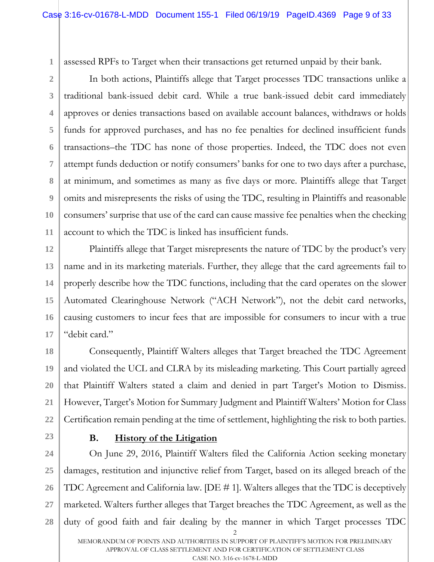**1**

assessed RPFs to Target when their transactions get returned unpaid by their bank.

**2 3 4 5 6 7 8 9 10 11** In both actions, Plaintiffs allege that Target processes TDC transactions unlike a traditional bank-issued debit card. While a true bank-issued debit card immediately approves or denies transactions based on available account balances, withdraws or holds funds for approved purchases, and has no fee penalties for declined insufficient funds transactions–the TDC has none of those properties. Indeed, the TDC does not even attempt funds deduction or notify consumers' banks for one to two days after a purchase, at minimum, and sometimes as many as five days or more. Plaintiffs allege that Target omits and misrepresents the risks of using the TDC, resulting in Plaintiffs and reasonable consumers' surprise that use of the card can cause massive fee penalties when the checking account to which the TDC is linked has insufficient funds.

**12 13 14 15 16 17** Plaintiffs allege that Target misrepresents the nature of TDC by the product's very name and in its marketing materials. Further, they allege that the card agreements fail to properly describe how the TDC functions, including that the card operates on the slower Automated Clearinghouse Network ("ACH Network"), not the debit card networks, causing customers to incur fees that are impossible for consumers to incur with a true "debit card."

**18 19 20 21 22** Consequently, Plaintiff Walters alleges that Target breached the TDC Agreement and violated the UCL and CLRA by its misleading marketing. This Court partially agreed that Plaintiff Walters stated a claim and denied in part Target's Motion to Dismiss. However, Target's Motion for Summary Judgment and Plaintiff Walters' Motion for Class Certification remain pending at the time of settlement, highlighting the risk to both parties.

**23**

# **B. History of the Litigation**

2 **24 25 26 27 28** On June 29, 2016, Plaintiff Walters filed the California Action seeking monetary damages, restitution and injunctive relief from Target, based on its alleged breach of the TDC Agreement and California law. [DE # 1]. Walters alleges that the TDC is deceptively marketed. Walters further alleges that Target breaches the TDC Agreement, as well as the duty of good faith and fair dealing by the manner in which Target processes TDC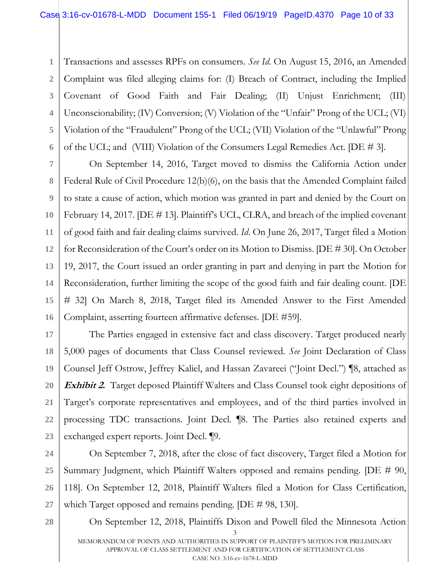**1 2 3 4 5 6** Transactions and assesses RPFs on consumers. *See Id*. On August 15, 2016, an Amended Complaint was filed alleging claims for: (I) Breach of Contract, including the Implied Covenant of Good Faith and Fair Dealing; (II) Unjust Enrichment; (III) Unconscionability; (IV) Conversion; (V) Violation of the "Unfair" Prong of the UCL; (VI) Violation of the "Fraudulent" Prong of the UCL; (VII) Violation of the "Unlawful" Prong of the UCL; and (VIII) Violation of the Consumers Legal Remedies Act. [DE # 3].

**7 8 9 10 11 12 13 14 15 16** On September 14, 2016, Target moved to dismiss the California Action under Federal Rule of Civil Procedure 12(b)(6), on the basis that the Amended Complaint failed to state a cause of action, which motion was granted in part and denied by the Court on February 14, 2017. [DE # 13]. Plaintiff's UCL, CLRA, and breach of the implied covenant of good faith and fair dealing claims survived. *Id*. On June 26, 2017, Target filed a Motion for Reconsideration of the Court's order on its Motion to Dismiss. [DE # 30]. On October 19, 2017, the Court issued an order granting in part and denying in part the Motion for Reconsideration, further limiting the scope of the good faith and fair dealing count. [DE # 32] On March 8, 2018, Target filed its Amended Answer to the First Amended Complaint, asserting fourteen affirmative defenses. [DE #59].

**17 18 19 20 21 22 23** The Parties engaged in extensive fact and class discovery. Target produced nearly 5,000 pages of documents that Class Counsel reviewed. *See* Joint Declaration of Class Counsel Jeff Ostrow, Jeffrey Kaliel, and Hassan Zavareei ("Joint Decl.") ¶8, attached as **Exhibit 2.** Target deposed Plaintiff Walters and Class Counsel took eight depositions of Target's corporate representatives and employees, and of the third parties involved in processing TDC transactions. Joint Decl. ¶8. The Parties also retained experts and exchanged expert reports. Joint Decl. ¶9.

**24 25 26 27** On September 7, 2018, after the close of fact discovery, Target filed a Motion for Summary Judgment, which Plaintiff Walters opposed and remains pending. [DE # 90, 118]. On September 12, 2018, Plaintiff Walters filed a Motion for Class Certification, which Target opposed and remains pending. [DE # 98, 130].

**28**

3 MEMORANDUM OF POINTS AND AUTHORITIES IN SUPPORT OF PLAINTIFF'S MOTION FOR PRELIMINARY APPROVAL OF CLASS SETTLEMENT AND FOR CERTIFICATION OF SETTLEMENT CLASS CASE NO. 3:16-cv-1678-L-MDD

On September 12, 2018, Plaintiffs Dixon and Powell filed the Minnesota Action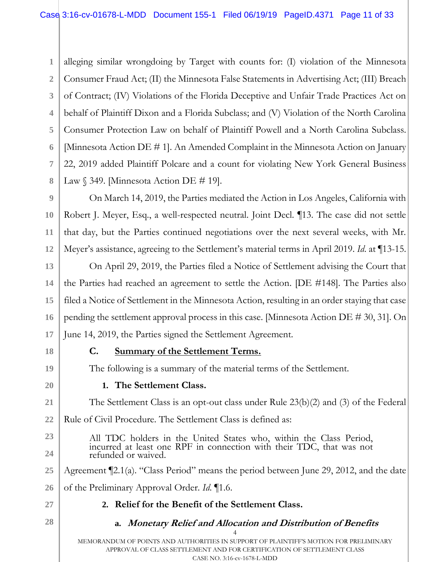**1 2 3 4 5 6 7 8** alleging similar wrongdoing by Target with counts for: (I) violation of the Minnesota Consumer Fraud Act; (II) the Minnesota False Statements in Advertising Act; (III) Breach of Contract; (IV) Violations of the Florida Deceptive and Unfair Trade Practices Act on behalf of Plaintiff Dixon and a Florida Subclass; and (V) Violation of the North Carolina Consumer Protection Law on behalf of Plaintiff Powell and a North Carolina Subclass. [Minnesota Action DE # 1]. An Amended Complaint in the Minnesota Action on January 22, 2019 added Plaintiff Polcare and a count for violating New York General Business Law  $\S$  349. [Minnesota Action DE # 19].

**9 10 11 12** On March 14, 2019, the Parties mediated the Action in Los Angeles, California with Robert J. Meyer, Esq., a well-respected neutral. Joint Decl. ¶13. The case did not settle that day, but the Parties continued negotiations over the next several weeks, with Mr. Meyer's assistance, agreeing to the Settlement's material terms in April 2019. *Id*. at ¶13-15.

**13 14 15 16 17** On April 29, 2019, the Parties filed a Notice of Settlement advising the Court that the Parties had reached an agreement to settle the Action. [DE #148]. The Parties also filed a Notice of Settlement in the Minnesota Action, resulting in an order staying that case pending the settlement approval process in this case. [Minnesota Action DE # 30, 31]. On June 14, 2019, the Parties signed the Settlement Agreement.

**18**

# **C. Summary of the Settlement Terms.**

The following is a summary of the material terms of the Settlement.

**20**

**21**

**23**

**24**

**19**

# **1. The Settlement Class.**

The Settlement Class is an opt-out class under Rule 23(b)(2) and (3) of the Federal

**22** Rule of Civil Procedure. The Settlement Class is defined as:

> All TDC holders in the United States who, within the Class Period, incurred at least one RPF in connection with their TDC, that was not refunded or waived.

**25** Agreement ¶2.1(a). "Class Period" means the period between June 29, 2012, and the date

- **26** of the Preliminary Approval Order. *Id*. ¶1.6.
- **27**

**28**

# **2. Relief for the Benefit of the Settlement Class.**

**a. Monetary Relief and Allocation and Distribution of Benefits**

4 MEMORANDUM OF POINTS AND AUTHORITIES IN SUPPORT OF PLAINTIFF'S MOTION FOR PRELIMINARY APPROVAL OF CLASS SETTLEMENT AND FOR CERTIFICATION OF SETTLEMENT CLASS CASE NO. 3:16-cv-1678-L-MDD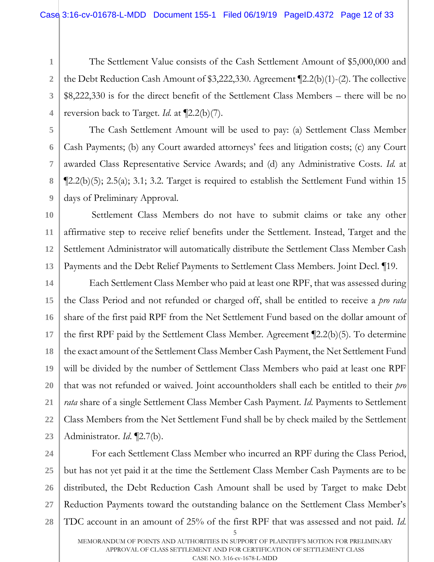The Settlement Value consists of the Cash Settlement Amount of \$5,000,000 and the Debt Reduction Cash Amount of \$3,222,330. Agreement ¶2.2(b)(1)-(2). The collective \$8,222,330 is for the direct benefit of the Settlement Class Members – there will be no reversion back to Target. *Id.* at ¶2.2(b)(7).

The Cash Settlement Amount will be used to pay: (a) Settlement Class Member Cash Payments; (b) any Court awarded attorneys' fees and litigation costs; (c) any Court awarded Class Representative Service Awards; and (d) any Administrative Costs. *Id.* at  $\P$ 2.2(b)(5); 2.5(a); 3.1; 3.2. Target is required to establish the Settlement Fund within 15 days of Preliminary Approval.

**10 13** Settlement Class Members do not have to submit claims or take any other affirmative step to receive relief benefits under the Settlement. Instead, Target and the Settlement Administrator will automatically distribute the Settlement Class Member Cash Payments and the Debt Relief Payments to Settlement Class Members. Joint Decl. ¶19.

**14 15 16 17 18 19 20 21 22 23** Each Settlement Class Member who paid at least one RPF, that was assessed during the Class Period and not refunded or charged off, shall be entitled to receive a *pro rata* share of the first paid RPF from the Net Settlement Fund based on the dollar amount of the first RPF paid by the Settlement Class Member. Agreement ¶2.2(b)(5). To determine the exact amount of the Settlement Class Member Cash Payment, the Net Settlement Fund will be divided by the number of Settlement Class Members who paid at least one RPF that was not refunded or waived. Joint accountholders shall each be entitled to their *pro rata* share of a single Settlement Class Member Cash Payment. *Id*. Payments to Settlement Class Members from the Net Settlement Fund shall be by check mailed by the Settlement Administrator. *Id*. ¶2.7(b).

**24**

**1**

**2**

**3**

**4**

**5**

**6**

**7**

**8**

**9**

**11**

**12**

5 **25 26 27 28** For each Settlement Class Member who incurred an RPF during the Class Period, but has not yet paid it at the time the Settlement Class Member Cash Payments are to be distributed, the Debt Reduction Cash Amount shall be used by Target to make Debt Reduction Payments toward the outstanding balance on the Settlement Class Member's TDC account in an amount of 25% of the first RPF that was assessed and not paid. *Id*.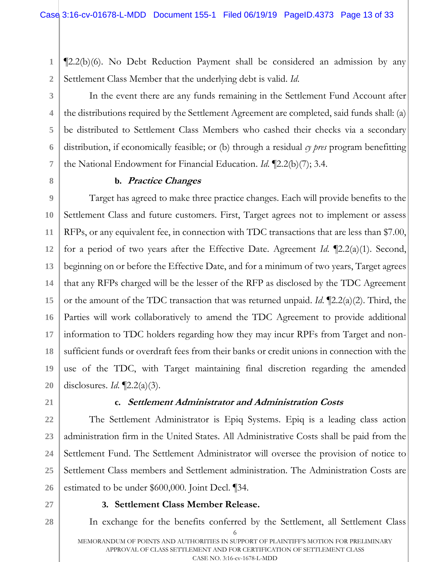**1 2** ¶2.2(b)(6). No Debt Reduction Payment shall be considered an admission by any Settlement Class Member that the underlying debt is valid. *Id*.

**3**

**4**

**5**

**6**

**7**

**8**

In the event there are any funds remaining in the Settlement Fund Account after the distributions required by the Settlement Agreement are completed, said funds shall: (a) be distributed to Settlement Class Members who cashed their checks via a secondary distribution, if economically feasible; or (b) through a residual *cy pres* program benefitting the National Endowment for Financial Education. *Id*. ¶2.2(b)(7); 3.4.

### **b. Practice Changes**

**9 10 11 12 13 14 15 16 17 18 19 20** Target has agreed to make three practice changes. Each will provide benefits to the Settlement Class and future customers. First, Target agrees not to implement or assess RFPs, or any equivalent fee, in connection with TDC transactions that are less than \$7.00, for a period of two years after the Effective Date. Agreement *Id*. ¶2.2(a)(1). Second, beginning on or before the Effective Date, and for a minimum of two years, Target agrees that any RFPs charged will be the lesser of the RFP as disclosed by the TDC Agreement or the amount of the TDC transaction that was returned unpaid. *Id*. ¶2.2(a)(2). Third, the Parties will work collaboratively to amend the TDC Agreement to provide additional information to TDC holders regarding how they may incur RPFs from Target and nonsufficient funds or overdraft fees from their banks or credit unions in connection with the use of the TDC, with Target maintaining final discretion regarding the amended disclosures. *Id*. ¶2.2(a)(3).

**21**

#### **c. Settlement Administrator and Administration Costs**

**22 23 24 25 26** The Settlement Administrator is Epiq Systems. Epiq is a leading class action administration firm in the United States. All Administrative Costs shall be paid from the Settlement Fund. The Settlement Administrator will oversee the provision of notice to Settlement Class members and Settlement administration. The Administration Costs are estimated to be under \$600,000. Joint Decl. ¶34.

**27**

### **3. Settlement Class Member Release.**

6 MEMORANDUM OF POINTS AND AUTHORITIES IN SUPPORT OF PLAINTIFF'S MOTION FOR PRELIMINARY APPROVAL OF CLASS SETTLEMENT AND FOR CERTIFICATION OF SETTLEMENT CLASS **28** In exchange for the benefits conferred by the Settlement, all Settlement Class

CASE NO. 3:16-cv-1678-L-MDD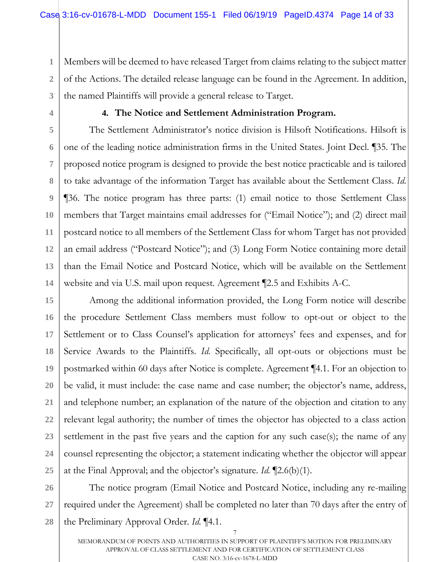**1 2 3** Members will be deemed to have released Target from claims relating to the subject matter of the Actions. The detailed release language can be found in the Agreement. In addition, the named Plaintiffs will provide a general release to Target.

**4**

**6**

**7**

**8**

**9**

**11**

### **4. The Notice and Settlement Administration Program.**

**5 10 12 13 14** The Settlement Administrator's notice division is Hilsoft Notifications. Hilsoft is one of the leading notice administration firms in the United States. Joint Decl. ¶35. The proposed notice program is designed to provide the best notice practicable and is tailored to take advantage of the information Target has available about the Settlement Class. *Id*. ¶36. The notice program has three parts: (1) email notice to those Settlement Class members that Target maintains email addresses for ("Email Notice"); and (2) direct mail postcard notice to all members of the Settlement Class for whom Target has not provided an email address ("Postcard Notice"); and (3) Long Form Notice containing more detail than the Email Notice and Postcard Notice, which will be available on the Settlement website and via U.S. mail upon request. Agreement ¶2.5 and Exhibits A-C.

**15 16 17 18 19 20 21 22 23 24 25** Among the additional information provided, the Long Form notice will describe the procedure Settlement Class members must follow to opt-out or object to the Settlement or to Class Counsel's application for attorneys' fees and expenses, and for Service Awards to the Plaintiffs. *Id*. Specifically, all opt-outs or objections must be postmarked within 60 days after Notice is complete. Agreement ¶4.1. For an objection to be valid, it must include: the case name and case number; the objector's name, address, and telephone number; an explanation of the nature of the objection and citation to any relevant legal authority; the number of times the objector has objected to a class action settlement in the past five years and the caption for any such case(s); the name of any counsel representing the objector; a statement indicating whether the objector will appear at the Final Approval; and the objector's signature. *Id.* ¶2.6(b)(1).

**26 27 28** The notice program (Email Notice and Postcard Notice, including any re-mailing required under the Agreement) shall be completed no later than 70 days after the entry of the Preliminary Approval Order. *Id*. ¶4.1.

7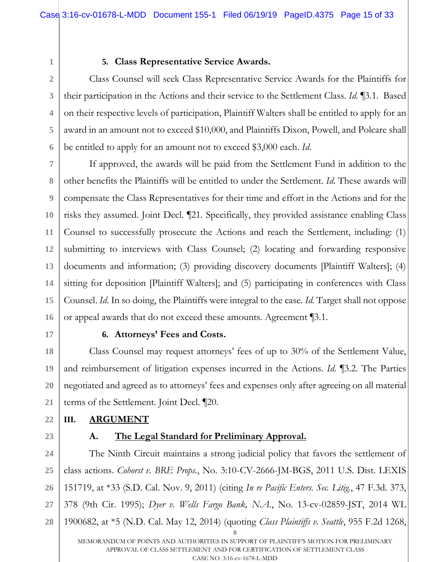**1**

**4**

**5**

**6**

# **5. Class Representative Service Awards.**

**2 3** Class Counsel will seek Class Representative Service Awards for the Plaintiffs for their participation in the Actions and their service to the Settlement Class. *Id*. ¶3.1. Based on their respective levels of participation, Plaintiff Walters shall be entitled to apply for an award in an amount not to exceed \$10,000, and Plaintiffs Dixon, Powell, and Polcare shall be entitled to apply for an amount not to exceed \$3,000 each. *Id*.

**7 8 9 10 11 12 13 14 15 16** If approved, the awards will be paid from the Settlement Fund in addition to the other benefits the Plaintiffs will be entitled to under the Settlement. *Id*. These awards will compensate the Class Representatives for their time and effort in the Actions and for the risks they assumed. Joint Decl. ¶21. Specifically, they provided assistance enabling Class Counsel to successfully prosecute the Actions and reach the Settlement, including: (1) submitting to interviews with Class Counsel; (2) locating and forwarding responsive documents and information; (3) providing discovery documents [Plaintiff Walters]; (4) sitting for deposition [Plaintiff Walters]; and (5) participating in conferences with Class Counsel. *Id*. In so doing, the Plaintiffs were integral to the case. *Id.* Target shall not oppose or appeal awards that do not exceed these amounts. Agreement ¶3.1.

**17**

# **6. Attorneys' Fees and Costs.**

**18 19 20 21** Class Counsel may request attorneys' fees of up to 30% of the Settlement Value, and reimbursement of litigation expenses incurred in the Actions. *Id*. ¶3.2. The Parties negotiated and agreed as to attorneys' fees and expenses only after agreeing on all material terms of the Settlement. Joint Decl. ¶20.

# **III. ARGUMENT**

**23**

**22**

# **A. The Legal Standard for Preliminary Approval.**

8 MEMORANDUM OF POINTS AND AUTHORITIES IN SUPPORT OF PLAINTIFF'S MOTION FOR PRELIMINARY APPROVAL OF CLASS SETTLEMENT AND FOR CERTIFICATION OF SETTLEMENT CLASS **24 25 26 27 28** The Ninth Circuit maintains a strong judicial policy that favors the settlement of class actions. *Cohorst v. BRE Props.*, No. 3:10-CV-2666-JM-BGS, 2011 U.S. Dist. LEXIS 151719, at \*33 (S.D. Cal. Nov. 9, 2011) (citing *In re Pacific Enters. Sec. Litig.*, 47 F.3d. 373, 378 (9th Cir. 1995); *Dyer v. Wells Fargo Bank, N.A.*, No. 13-cv-02859-JST, 2014 WL 1900682, at \*5 (N.D. Cal. May 12, 2014) (quoting *Class Plaintiffs v. Seattle*, 955 F.2d 1268,

CASE NO. 3:16-cv-1678-L-MDD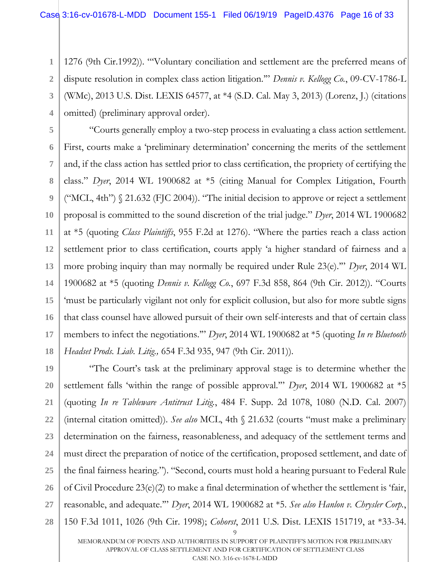**1 2 3 4** 1276 (9th Cir.1992)). "'Voluntary conciliation and settlement are the preferred means of dispute resolution in complex class action litigation.'" *Dennis v. Kellogg Co.*, 09-CV-1786-L (WMc), 2013 U.S. Dist. LEXIS 64577, at \*4 (S.D. Cal. May 3, 2013) (Lorenz, J.) (citations omitted) (preliminary approval order).

**5 6 7 8 9 10 11 12 13 14 15 16 17 18** "Courts generally employ a two-step process in evaluating a class action settlement. First, courts make a 'preliminary determination' concerning the merits of the settlement and, if the class action has settled prior to class certification, the propriety of certifying the class." *Dyer*, 2014 WL 1900682 at \*5 (citing Manual for Complex Litigation, Fourth ("MCL, 4th") § 21.632 (FJC 2004)). "The initial decision to approve or reject a settlement proposal is committed to the sound discretion of the trial judge." *Dyer*, 2014 WL 1900682 at \*5 (quoting *Class Plaintiffs*, 955 F.2d at 1276). "Where the parties reach a class action settlement prior to class certification, courts apply 'a higher standard of fairness and a more probing inquiry than may normally be required under Rule 23(e).'" *Dyer*, 2014 WL 1900682 at \*5 (quoting *Dennis v. Kellogg Co.*, 697 F.3d 858, 864 (9th Cir. 2012)). "Courts 'must be particularly vigilant not only for explicit collusion, but also for more subtle signs that class counsel have allowed pursuit of their own self-interests and that of certain class members to infect the negotiations.'" *Dyer*, 2014 WL 1900682 at \*5 (quoting *In re Bluetooth Headset Prods. Liab. Litig.,* 654 F.3d 935, 947 (9th Cir. 2011)).

9 **19 20 21 22 23 24 25 26 27 28** "The Court's task at the preliminary approval stage is to determine whether the settlement falls 'within the range of possible approval.'" *Dyer*, 2014 WL 1900682 at \*5 (quoting *In re Tableware Antitrust Litig.*, 484 F. Supp. 2d 1078, 1080 (N.D. Cal. 2007) (internal citation omitted)). *See also* MCL, 4th § 21.632 (courts "must make a preliminary determination on the fairness, reasonableness, and adequacy of the settlement terms and must direct the preparation of notice of the certification, proposed settlement, and date of the final fairness hearing."). "Second, courts must hold a hearing pursuant to Federal Rule of Civil Procedure 23(e)(2) to make a final determination of whether the settlement is 'fair, reasonable, and adequate.'" *Dyer*, 2014 WL 1900682 at \*5. *See also Hanlon v. Chrysler Corp.*, 150 F.3d 1011, 1026 (9th Cir. 1998); *Cohorst*, 2011 U.S. Dist. LEXIS 151719, at \*33-34.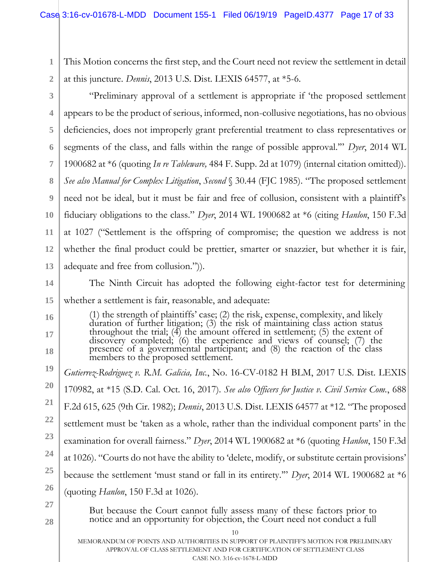- **1 2** This Motion concerns the first step, and the Court need not review the settlement in detail at this juncture. *Dennis*, 2013 U.S. Dist. LEXIS 64577, at \*5-6.
- **3**

**16**

**17**

**18**

**28**

**4 5 6 7 8 9 10 11 12 13** "Preliminary approval of a settlement is appropriate if 'the proposed settlement appears to be the product of serious, informed, non-collusive negotiations, has no obvious deficiencies, does not improperly grant preferential treatment to class representatives or segments of the class, and falls within the range of possible approval.'" *Dyer*, 2014 WL 1900682 at \*6 (quoting *In re Tableware,* 484 F. Supp. 2d at 1079) (internal citation omitted)). *See also Manual for Complex Litigation*, *Second* § 30.44 (FJC 1985). "The proposed settlement need not be ideal, but it must be fair and free of collusion, consistent with a plaintiff's fiduciary obligations to the class." *Dyer*, 2014 WL 1900682 at \*6 (citing *Hanlon*, 150 F.3d at 1027 ("Settlement is the offspring of compromise; the question we address is not whether the final product could be prettier, smarter or snazzier, but whether it is fair, adequate and free from collusion.")).

- **14 15** The Ninth Circuit has adopted the following eight-factor test for determining whether a settlement is fair, reasonable, and adequate:
	- (1) the strength of plaintiffs' case; (2) the risk, expense, complexity, and likely duration of further litigation; (3) the risk of maintaining class action status throughout the trial;  $(4)$  the amount offered in settlement;  $(5)$  the extent of discovery completed; (6) the experience and views of counsel; (7) the presence of a governmental participant; and (8) the reaction of the class members to the proposed settlement.
- **19 20 21 22 23 24 25 26 27** *Gutierrez-Rodriguez v. R.M. Galicia, Inc.*, No. 16-CV-0182 H BLM, 2017 U.S. Dist. LEXIS 170982, at \*15 (S.D. Cal. Oct. 16, 2017). *See also Officers for Justice v. Civil Service Com.*, 688 F.2d 615, 625 (9th Cir. 1982); *Dennis*, 2013 U.S. Dist. LEXIS 64577 at \*12. "The proposed settlement must be 'taken as a whole, rather than the individual component parts' in the examination for overall fairness." *Dyer*, 2014 WL 1900682 at \*6 (quoting *Hanlon*, 150 F.3d at 1026). "Courts do not have the ability to 'delete, modify, or substitute certain provisions' because the settlement 'must stand or fall in its entirety.'" *Dyer*, 2014 WL 1900682 at \*6 (quoting *Hanlon*, 150 F.3d at 1026).
	- But because the Court cannot fully assess many of these factors prior to notice and an opportunity for objection, the Court need not conduct a full
		- 10

MEMORANDUM OF POINTS AND AUTHORITIES IN SUPPORT OF PLAINTIFF'S MOTION FOR PRELIMINARY APPROVAL OF CLASS SETTLEMENT AND FOR CERTIFICATION OF SETTLEMENT CLASS CASE NO. 3:16-cv-1678-L-MDD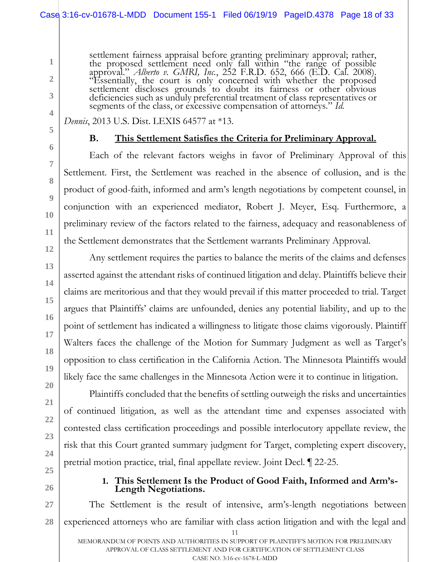### Case 3:16-cv-01678-L-MDD Document 155-1 Filed 06/19/19 PageID.4378 Page 18 of 33

settlement fairness appraisal before granting preliminary approval; rather, the proposed settlement need only fall within "the range of possible approval." *Alberto v. GMRI, Inc.*, 252 F.R.D. 652, 666 (E.D. Cal. 2008). "Essentially, the court is only concerned with whether the proposed settlement discloses grounds to doubt its fairness or other obvious deficiencies such as unduly preferential treatment of class representatives or segments of the class, or excessive compensation of attorneys." *Id.*

#### *Dennis*, 2013 U.S. Dist. LEXIS 64577 at \*13.

**1**

**2**

**3**

**4**

**5**

**6**

**7**

**8**

**9**

### **B. This Settlement Satisfies the Criteria for Preliminary Approval.**

Each of the relevant factors weighs in favor of Preliminary Approval of this Settlement. First, the Settlement was reached in the absence of collusion, and is the product of good-faith, informed and arm's length negotiations by competent counsel, in conjunction with an experienced mediator, Robert J. Meyer, Esq. Furthermore, a preliminary review of the factors related to the fairness, adequacy and reasonableness of the Settlement demonstrates that the Settlement warrants Preliminary Approval.

Any settlement requires the parties to balance the merits of the claims and defenses asserted against the attendant risks of continued litigation and delay. Plaintiffs believe their claims are meritorious and that they would prevail if this matter proceeded to trial. Target argues that Plaintiffs' claims are unfounded, denies any potential liability, and up to the point of settlement has indicated a willingness to litigate those claims vigorously. Plaintiff Walters faces the challenge of the Motion for Summary Judgment as well as Target's opposition to class certification in the California Action. The Minnesota Plaintiffs would likely face the same challenges in the Minnesota Action were it to continue in litigation.

Plaintiffs concluded that the benefits of settling outweigh the risks and uncertainties of continued litigation, as well as the attendant time and expenses associated with contested class certification proceedings and possible interlocutory appellate review, the risk that this Court granted summary judgment for Target, completing expert discovery, pretrial motion practice, trial, final appellate review. Joint Decl. ¶ 22-25.

### **1. This Settlement Is the Product of Good Faith, Informed and Arm's-Length Negotiations.**

The Settlement is the result of intensive, arm's-length negotiations between experienced attorneys who are familiar with class action litigation and with the legal and

11

MEMORANDUM OF POINTS AND AUTHORITIES IN SUPPORT OF PLAINTIFF'S MOTION FOR PRELIMINARY APPROVAL OF CLASS SETTLEMENT AND FOR CERTIFICATION OF SETTLEMENT CLASS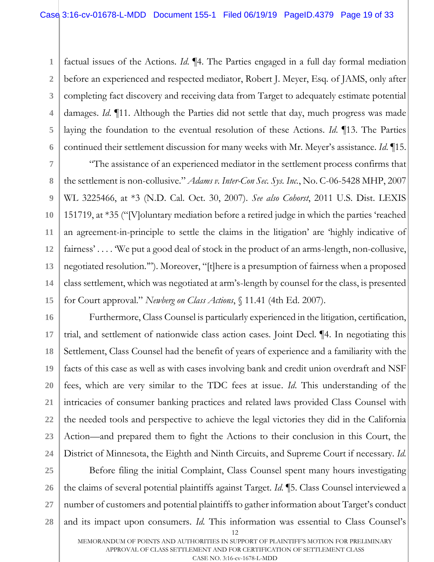**1 2 3 4 5 6** factual issues of the Actions. *Id*. ¶4. The Parties engaged in a full day formal mediation before an experienced and respected mediator, Robert J. Meyer, Esq. of JAMS, only after completing fact discovery and receiving data from Target to adequately estimate potential damages. *Id*. ¶11. Although the Parties did not settle that day, much progress was made laying the foundation to the eventual resolution of these Actions. *Id*. ¶13. The Parties continued their settlement discussion for many weeks with Mr. Meyer's assistance. *Id*. ¶15.

**7 8 9 10 11 12 13 14 15** "The assistance of an experienced mediator in the settlement process confirms that the settlement is non-collusive." *Adams v. Inter-Con Sec. Sys. Inc.*, No. C-06-5428 MHP, 2007 WL 3225466, at \*3 (N.D. Cal. Oct. 30, 2007). *See also Cohorst*, 2011 U.S. Dist. LEXIS 151719, at \*35 ("[V]oluntary mediation before a retired judge in which the parties 'reached an agreement-in-principle to settle the claims in the litigation' are 'highly indicative of fairness' . . . . 'We put a good deal of stock in the product of an arms-length, non-collusive, negotiated resolution.'"). Moreover, "[t]here is a presumption of fairness when a proposed class settlement, which was negotiated at arm's-length by counsel for the class, is presented for Court approval." *Newberg on Class Actions*, § 11.41 (4th Ed. 2007).

**16 17 18 19 20 21 22 23 24** Furthermore, Class Counsel is particularly experienced in the litigation, certification, trial, and settlement of nationwide class action cases. Joint Decl. ¶4. In negotiating this Settlement, Class Counsel had the benefit of years of experience and a familiarity with the facts of this case as well as with cases involving bank and credit union overdraft and NSF fees, which are very similar to the TDC fees at issue. *Id*. This understanding of the intricacies of consumer banking practices and related laws provided Class Counsel with the needed tools and perspective to achieve the legal victories they did in the California Action—and prepared them to fight the Actions to their conclusion in this Court, the District of Minnesota, the Eighth and Ninth Circuits, and Supreme Court if necessary. *Id.*

**25 26 27 28** Before filing the initial Complaint, Class Counsel spent many hours investigating the claims of several potential plaintiffs against Target. *Id*. ¶5. Class Counsel interviewed a number of customers and potential plaintiffs to gather information about Target's conduct and its impact upon consumers. *Id.* This information was essential to Class Counsel's

<sup>12</sup>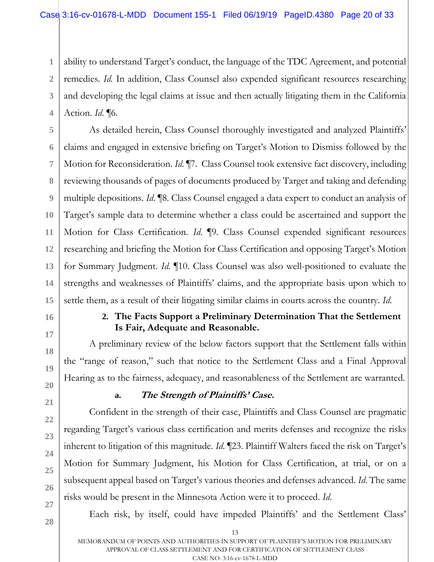**1 2 3 4** ability to understand Target's conduct, the language of the TDC Agreement, and potential remedies. *Id.* In addition, Class Counsel also expended significant resources researching and developing the legal claims at issue and then actually litigating them in the California Action. *Id*. ¶6.

**5 6** As detailed herein, Class Counsel thoroughly investigated and analyzed Plaintiffs' claims and engaged in extensive briefing on Target's Motion to Dismiss followed by the Motion for Reconsideration. *Id*. ¶7. Class Counsel took extensive fact discovery, including reviewing thousands of pages of documents produced by Target and taking and defending multiple depositions. *Id*. ¶8. Class Counsel engaged a data expert to conduct an analysis of Target's sample data to determine whether a class could be ascertained and support the Motion for Class Certification. *Id*. ¶9. Class Counsel expended significant resources researching and briefing the Motion for Class Certification and opposing Target's Motion for Summary Judgment. *Id*. ¶10. Class Counsel was also well-positioned to evaluate the strengths and weaknesses of Plaintiffs' claims, and the appropriate basis upon which to settle them, as a result of their litigating similar claims in courts across the country. *Id*.

# **2. The Facts Support a Preliminary Determination That the Settlement Is Fair, Adequate and Reasonable.**

A preliminary review of the below factors support that the Settlement falls within the "range of reason," such that notice to the Settlement Class and a Final Approval Hearing as to the fairness, adequacy, and reasonableness of the Settlement are warranted*.*

# **a. The Strength of Plaintiffs' Case.**

Confident in the strength of their case, Plaintiffs and Class Counsel are pragmatic regarding Target's various class certification and merits defenses and recognize the risks inherent to litigation of this magnitude. *Id*. ¶23. Plaintiff Walters faced the risk on Target's Motion for Summary Judgment, his Motion for Class Certification, at trial, or on a subsequent appeal based on Target's various theories and defenses advanced. *Id*. The same risks would be present in the Minnesota Action were it to proceed. *Id*.

Each risk, by itself, could have impeded Plaintiffs' and the Settlement Class'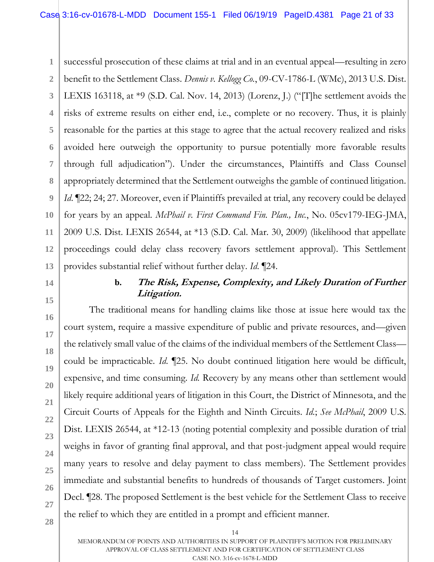**1 2 3 4 5** successful prosecution of these claims at trial and in an eventual appeal—resulting in zero benefit to the Settlement Class. *Dennis v. Kellogg Co.*, 09-CV-1786-L (WMc), 2013 U.S. Dist. LEXIS 163118, at \*9 (S.D. Cal. Nov. 14, 2013) (Lorenz, J.) ("[T]he settlement avoids the risks of extreme results on either end, i.e., complete or no recovery. Thus, it is plainly reasonable for the parties at this stage to agree that the actual recovery realized and risks avoided here outweigh the opportunity to pursue potentially more favorable results through full adjudication"). Under the circumstances, Plaintiffs and Class Counsel appropriately determined that the Settlement outweighs the gamble of continued litigation. *Id*. [22; 24; 27. Moreover, even if Plaintiffs prevailed at trial, any recovery could be delayed for years by an appeal. *McPhail v. First Command Fin. Plan., Inc.*, No. 05cv179-IEG-JMA, 2009 U.S. Dist. LEXIS 26544, at \*13 (S.D. Cal. Mar. 30, 2009) (likelihood that appellate proceedings could delay class recovery favors settlement approval). This Settlement provides substantial relief without further delay. *Id*. ¶24.

# **b. The Risk, Expense, Complexity, and Likely Duration of Further Litigation.**

The traditional means for handling claims like those at issue here would tax the court system, require a massive expenditure of public and private resources, and—given the relatively small value of the claims of the individual members of the Settlement Class could be impracticable. *Id*. ¶25. No doubt continued litigation here would be difficult, expensive, and time consuming. *Id.* Recovery by any means other than settlement would likely require additional years of litigation in this Court, the District of Minnesota, and the Circuit Courts of Appeals for the Eighth and Ninth Circuits. *Id.*; *See McPhail*, 2009 U.S. Dist. LEXIS 26544, at \*12-13 (noting potential complexity and possible duration of trial weighs in favor of granting final approval, and that post-judgment appeal would require many years to resolve and delay payment to class members). The Settlement provides immediate and substantial benefits to hundreds of thousands of Target customers. Joint Decl. ¶28. The proposed Settlement is the best vehicle for the Settlement Class to receive the relief to which they are entitled in a prompt and efficient manner.

MEMORANDUM OF POINTS AND AUTHORITIES IN SUPPORT OF PLAINTIFF'S MOTION FOR PRELIMINARY APPROVAL OF CLASS SETTLEMENT AND FOR CERTIFICATION OF SETTLEMENT CLASS CASE NO. 3:16-cv-1678-L-MDD

14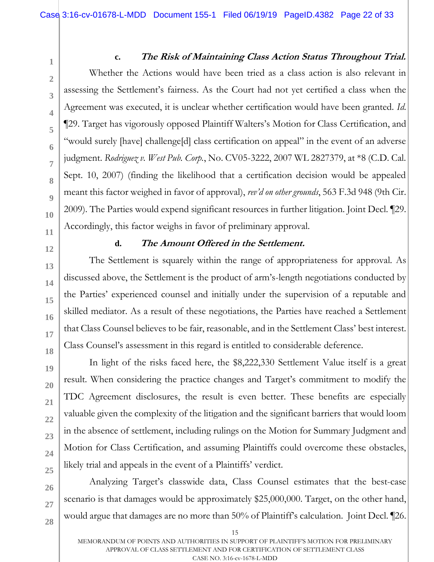**24**

**25**

**26**

**27**

**28**

**1**

### **c. The Risk of Maintaining Class Action Status Throughout Trial.**

Whether the Actions would have been tried as a class action is also relevant in assessing the Settlement's fairness. As the Court had not yet certified a class when the Agreement was executed, it is unclear whether certification would have been granted. *Id*. ¶29. Target has vigorously opposed Plaintiff Walters's Motion for Class Certification, and "would surely [have] challenge[d] class certification on appeal" in the event of an adverse judgment. *Rodriguez v. West Pub. Corp.*, No. CV05-3222, 2007 WL 2827379, at \*8 (C.D. Cal. Sept. 10, 2007) (finding the likelihood that a certification decision would be appealed meant this factor weighed in favor of approval), *rev'd on other grounds*, 563 F.3d 948 (9th Cir. 2009). The Parties would expend significant resources in further litigation. Joint Decl. ¶29. Accordingly, this factor weighs in favor of preliminary approval.

# **d. The Amount Offered in the Settlement.**

The Settlement is squarely within the range of appropriateness for approval. As discussed above, the Settlement is the product of arm's-length negotiations conducted by the Parties' experienced counsel and initially under the supervision of a reputable and skilled mediator. As a result of these negotiations, the Parties have reached a Settlement that Class Counsel believes to be fair, reasonable, and in the Settlement Class' best interest. Class Counsel's assessment in this regard is entitled to considerable deference.

In light of the risks faced here, the \$8,222,330 Settlement Value itself is a great result. When considering the practice changes and Target's commitment to modify the TDC Agreement disclosures, the result is even better. These benefits are especially valuable given the complexity of the litigation and the significant barriers that would loom in the absence of settlement, including rulings on the Motion for Summary Judgment and Motion for Class Certification, and assuming Plaintiffs could overcome these obstacles, likely trial and appeals in the event of a Plaintiffs' verdict.

Analyzing Target's classwide data, Class Counsel estimates that the best-case scenario is that damages would be approximately \$25,000,000. Target, on the other hand, would argue that damages are no more than 50% of Plaintiff's calculation. Joint Decl. ¶26.

MEMORANDUM OF POINTS AND AUTHORITIES IN SUPPORT OF PLAINTIFF'S MOTION FOR PRELIMINARY APPROVAL OF CLASS SETTLEMENT AND FOR CERTIFICATION OF SETTLEMENT CLASS CASE NO. 3:16-cv-1678-L-MDD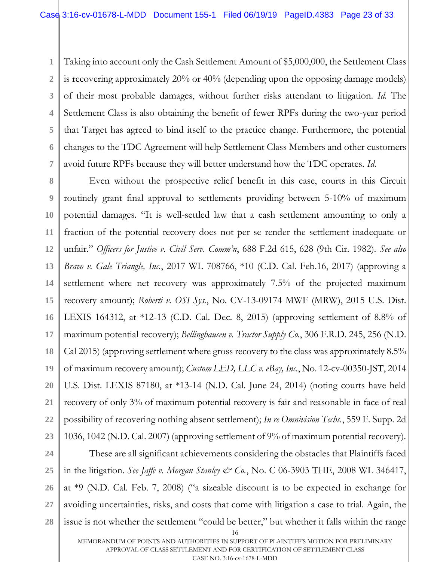**1 2 3 4 5 6 7** Taking into account only the Cash Settlement Amount of \$5,000,000, the Settlement Class is recovering approximately 20% or 40% (depending upon the opposing damage models) of their most probable damages, without further risks attendant to litigation. *Id.* The Settlement Class is also obtaining the benefit of fewer RPFs during the two-year period that Target has agreed to bind itself to the practice change. Furthermore, the potential changes to the TDC Agreement will help Settlement Class Members and other customers avoid future RPFs because they will better understand how the TDC operates. *Id*.

**8 9 10 11 12 13 14 15 16 17 18 19 20 21 22 23** Even without the prospective relief benefit in this case, courts in this Circuit routinely grant final approval to settlements providing between 5-10% of maximum potential damages. "It is well-settled law that a cash settlement amounting to only a fraction of the potential recovery does not per se render the settlement inadequate or unfair." *Officers for Justice v. Civil Serv. Comm'n*, 688 F.2d 615, 628 (9th Cir. 1982). *See also Bravo v. Gale Triangle, Inc.*, 2017 WL 708766, \*10 (C.D. Cal. Feb.16, 2017) (approving a settlement where net recovery was approximately 7.5% of the projected maximum recovery amount); *Roberti v. OSI Sys.*, No. CV-13-09174 MWF (MRW), 2015 U.S. Dist. LEXIS 164312, at \*12-13 (C.D. Cal. Dec. 8, 2015) (approving settlement of 8.8% of maximum potential recovery); *Bellinghausen v. Tractor Supply Co.*, 306 F.R.D. 245, 256 (N.D. Cal 2015) (approving settlement where gross recovery to the class was approximately 8.5% of maximum recovery amount); *Custom LED, LLC v. eBay, Inc.*, No. 12-cv-00350-JST, 2014 U.S. Dist. LEXIS 87180, at \*13-14 (N.D. Cal. June 24, 2014) (noting courts have held recovery of only 3% of maximum potential recovery is fair and reasonable in face of real possibility of recovering nothing absent settlement); *In re Omnivision Techs.*, 559 F. Supp. 2d 1036, 1042 (N.D. Cal. 2007) (approving settlement of 9% of maximum potential recovery).

16 **24 25 26 27 28** These are all significant achievements considering the obstacles that Plaintiffs faced in the litigation. *See Jaffe v. Morgan Stanley & Co.*, No. C 06-3903 THE, 2008 WL 346417, at \*9 (N.D. Cal. Feb. 7, 2008) ("a sizeable discount is to be expected in exchange for avoiding uncertainties, risks, and costs that come with litigation a case to trial. Again, the issue is not whether the settlement "could be better," but whether it falls within the range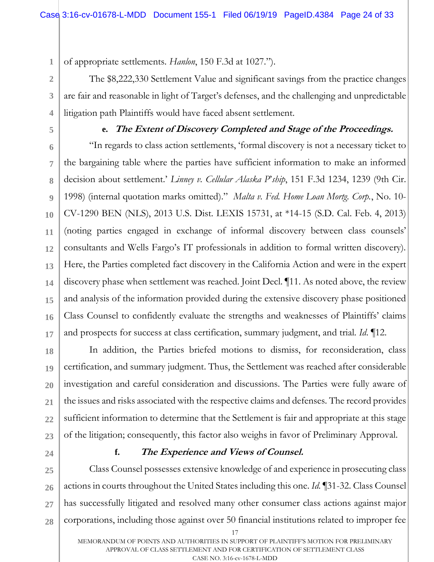of appropriate settlements. *Hanlon*, 150 F.3d at 1027.").

The \$8,222,330 Settlement Value and significant savings from the practice changes are fair and reasonable in light of Target's defenses, and the challenging and unpredictable litigation path Plaintiffs would have faced absent settlement.

**5**

**1**

**2**

**3**

**4**

### **e. The Extent of Discovery Completed and Stage of the Proceedings.**

**6 7 8 9 10 11 12 13 14 15 16 17** "In regards to class action settlements, 'formal discovery is not a necessary ticket to the bargaining table where the parties have sufficient information to make an informed decision about settlement.' *Linney v. Cellular Alaska P*'*ship*, 151 F.3d 1234, 1239 (9th Cir. 1998) (internal quotation marks omitted)." *Malta v. Fed. Home Loan Mortg. Corp.*, No. 10- CV-1290 BEN (NLS), 2013 U.S. Dist. LEXIS 15731, at \*14-15 (S.D. Cal. Feb. 4, 2013) (noting parties engaged in exchange of informal discovery between class counsels' consultants and Wells Fargo's IT professionals in addition to formal written discovery). Here, the Parties completed fact discovery in the California Action and were in the expert discovery phase when settlement was reached. Joint Decl. ¶11. As noted above, the review and analysis of the information provided during the extensive discovery phase positioned Class Counsel to confidently evaluate the strengths and weaknesses of Plaintiffs' claims and prospects for success at class certification, summary judgment, and trial*. Id*. ¶12.

**18 19 20 21 22 23** In addition, the Parties briefed motions to dismiss, for reconsideration, class certification, and summary judgment. Thus, the Settlement was reached after considerable investigation and careful consideration and discussions. The Parties were fully aware of the issues and risks associated with the respective claims and defenses. The record provides sufficient information to determine that the Settlement is fair and appropriate at this stage of the litigation; consequently, this factor also weighs in favor of Preliminary Approval.

**24**

#### **f. The Experience and Views of Counsel.**

**25 26 27 28** Class Counsel possesses extensive knowledge of and experience in prosecuting class actions in courts throughout the United States including this one. *Id.* ¶31-32. Class Counsel has successfully litigated and resolved many other consumer class actions against major corporations, including those against over 50 financial institutions related to improper fee

17

MEMORANDUM OF POINTS AND AUTHORITIES IN SUPPORT OF PLAINTIFF'S MOTION FOR PRELIMINARY APPROVAL OF CLASS SETTLEMENT AND FOR CERTIFICATION OF SETTLEMENT CLASS CASE NO. 3:16-cv-1678-L-MDD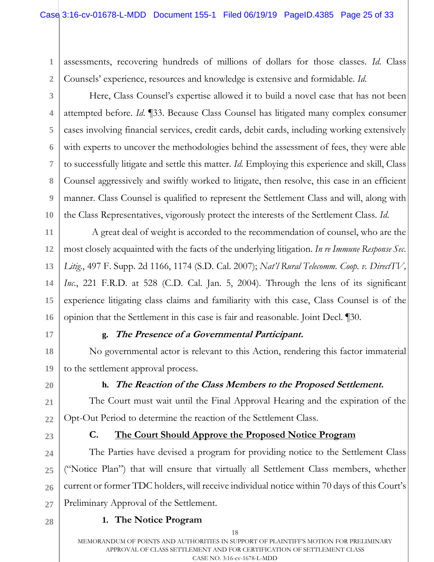assessments, recovering hundreds of millions of dollars for those classes. *Id*. Class Counsels' experience, resources and knowledge is extensive and formidable. *Id*.

**3**

**4**

**5**

**6**

**7**

**8**

**9**

**10**

**2**

**1**

Here, Class Counsel's expertise allowed it to build a novel case that has not been attempted before. *Id*. ¶33. Because Class Counsel has litigated many complex consumer cases involving financial services, credit cards, debit cards, including working extensively with experts to uncover the methodologies behind the assessment of fees, they were able to successfully litigate and settle this matter. *Id*. Employing this experience and skill, Class Counsel aggressively and swiftly worked to litigate, then resolve, this case in an efficient manner. Class Counsel is qualified to represent the Settlement Class and will, along with the Class Representatives, vigorously protect the interests of the Settlement Class. *Id*.

**11 12 13 14 15 16** A great deal of weight is accorded to the recommendation of counsel, who are the most closely acquainted with the facts of the underlying litigation. *In re Immune Response Sec. Litig.*, 497 F. Supp. 2d 1166, 1174 (S.D. Cal. 2007); *Nat'l Rural Telecomm. Coop. v. DirectTV,*  Inc., 221 F.R.D. at 528 (C.D. Cal. Jan. 5, 2004). Through the lens of its significant experience litigating class claims and familiarity with this case, Class Counsel is of the opinion that the Settlement in this case is fair and reasonable. Joint Decl. ¶30.

**17**

**18**

**19**

**21**

**22**

**24**

**25**

**26**

**27**

# **g. The Presence of a Governmental Participant.**

No governmental actor is relevant to this Action, rendering this factor immaterial to the settlement approval process.

**20**

# **h. The Reaction of the Class Members to the Proposed Settlement.**

The Court must wait until the Final Approval Hearing and the expiration of the Opt-Out Period to determine the reaction of the Settlement Class.

**23**

# **C. The Court Should Approve the Proposed Notice Program**

The Parties have devised a program for providing notice to the Settlement Class ("Notice Plan") that will ensure that virtually all Settlement Class members, whether current or former TDC holders, will receive individual notice within 70 days of this Court's Preliminary Approval of the Settlement.

- **28**
- 18

**1. The Notice Program**

MEMORANDUM OF POINTS AND AUTHORITIES IN SUPPORT OF PLAINTIFF'S MOTION FOR PRELIMINARY APPROVAL OF CLASS SETTLEMENT AND FOR CERTIFICATION OF SETTLEMENT CLASS CASE NO. 3:16-cv-1678-L-MDD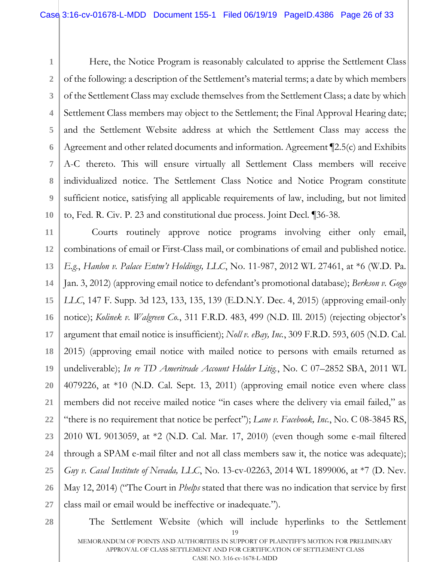**3** Here, the Notice Program is reasonably calculated to apprise the Settlement Class of the following: a description of the Settlement's material terms; a date by which members of the Settlement Class may exclude themselves from the Settlement Class; a date by which Settlement Class members may object to the Settlement; the Final Approval Hearing date; and the Settlement Website address at which the Settlement Class may access the Agreement and other related documents and information. Agreement ¶2.5(c) and Exhibits A-C thereto. This will ensure virtually all Settlement Class members will receive individualized notice. The Settlement Class Notice and Notice Program constitute sufficient notice, satisfying all applicable requirements of law, including, but not limited to, Fed. R. Civ. P. 23 and constitutional due process. Joint Decl. ¶36-38.

**11 12 13 14 15 16 17 18 19 20 21 22 23 24 25 26 27** Courts routinely approve notice programs involving either only email, combinations of email or First-Class mail, or combinations of email and published notice. *E.g.*, *Hanlon v. Palace Entm't Holdings, LLC*, No. 11-987, 2012 WL 27461, at \*6 (W.D. Pa. Jan. 3, 2012) (approving email notice to defendant's promotional database); *Berkson v. Gogo LLC*, 147 F. Supp. 3d 123, 133, 135, 139 (E.D.N.Y. Dec. 4, 2015) (approving email-only notice); *Kolinek v. Walgreen Co.*, 311 F.R.D. 483, 499 (N.D. Ill. 2015) (rejecting objector's argument that email notice is insufficient); *Noll v. eBay, Inc.*, 309 F.R.D. 593, 605 (N.D. Cal. 2015) (approving email notice with mailed notice to persons with emails returned as undeliverable); *In re TD Ameritrade Account Holder Litig.*, No. C 07–2852 SBA, 2011 WL 4079226, at \*10 (N.D. Cal. Sept. 13, 2011) (approving email notice even where class members did not receive mailed notice "in cases where the delivery via email failed," as "there is no requirement that notice be perfect"); *Lane v. Facebook, Inc.*, No. C 08-3845 RS, 2010 WL 9013059, at \*2 (N.D. Cal. Mar. 17, 2010) (even though some e-mail filtered through a SPAM e-mail filter and not all class members saw it, the notice was adequate); *Guy v. Casal Institute of Nevada, LLC*, No. 13-cv-02263, 2014 WL 1899006, at \*7 (D. Nev. May 12, 2014) ("The Court in *Phelps* stated that there was no indication that service by first class mail or email would be ineffective or inadequate.").

#### **28**

**1**

**2**

**4**

**5**

**6**

**7**

**8**

**9**

**10**

19 MEMORANDUM OF POINTS AND AUTHORITIES IN SUPPORT OF PLAINTIFF'S MOTION FOR PRELIMINARY APPROVAL OF CLASS SETTLEMENT AND FOR CERTIFICATION OF SETTLEMENT CLASS The Settlement Website (which will include hyperlinks to the Settlement

CASE NO. 3:16-cv-1678-L-MDD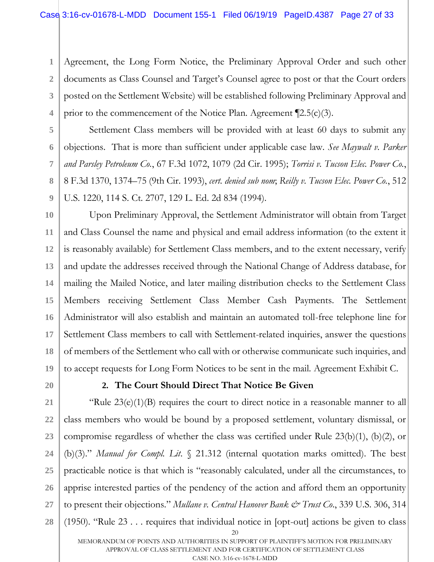**1 2 3 4** Agreement, the Long Form Notice, the Preliminary Approval Order and such other documents as Class Counsel and Target's Counsel agree to post or that the Court orders posted on the Settlement Website) will be established following Preliminary Approval and prior to the commencement of the Notice Plan. Agreement  $[2.5(c)(3)]$ .

Settlement Class members will be provided with at least 60 days to submit any objections. That is more than sufficient under applicable case law. *See Maywalt v. Parker and Parsley Petroleum Co.*, 67 F.3d 1072, 1079 (2d Cir. 1995); *Torrisi v. Tucson Elec. Power Co.*, 8 F.3d 1370, 1374–75 (9th Cir. 1993), *cert. denied sub nom*; *Reilly v. Tucson Elec. Power Co.*, 512 U.S. 1220, 114 S. Ct. 2707, 129 L. Ed. 2d 834 (1994).

**10 11 12 13 14 15 16 17 18 19** Upon Preliminary Approval, the Settlement Administrator will obtain from Target and Class Counsel the name and physical and email address information (to the extent it is reasonably available) for Settlement Class members, and to the extent necessary, verify and update the addresses received through the National Change of Address database, for mailing the Mailed Notice, and later mailing distribution checks to the Settlement Class Members receiving Settlement Class Member Cash Payments. The Settlement Administrator will also establish and maintain an automated toll-free telephone line for Settlement Class members to call with Settlement-related inquiries, answer the questions of members of the Settlement who call with or otherwise communicate such inquiries, and to accept requests for Long Form Notices to be sent in the mail. Agreement Exhibit C.

**20**

**5**

**6**

**7**

**8**

**9**

# **2. The Court Should Direct That Notice Be Given**

20 **21 22 23 24 25 26 27 28** "Rule  $23(e)(1)(B)$  requires the court to direct notice in a reasonable manner to all class members who would be bound by a proposed settlement, voluntary dismissal, or compromise regardless of whether the class was certified under Rule 23(b)(1), (b)(2), or (b)(3)." *Manual for Compl. Lit*. § 21.312 (internal quotation marks omitted). The best practicable notice is that which is "reasonably calculated, under all the circumstances, to apprise interested parties of the pendency of the action and afford them an opportunity to present their objections." *Mullane v. Central Hanover Bank & Trust Co*., 339 U.S. 306, 314 (1950). "Rule 23 . . . requires that individual notice in [opt-out] actions be given to class

MEMORANDUM OF POINTS AND AUTHORITIES IN SUPPORT OF PLAINTIFF'S MOTION FOR PRELIMINARY APPROVAL OF CLASS SETTLEMENT AND FOR CERTIFICATION OF SETTLEMENT CLASS CASE NO. 3:16-cv-1678-L-MDD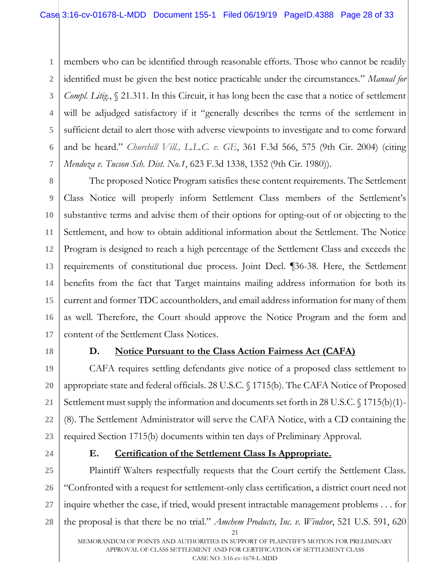**1 2 3 4 5 6 7** members who can be identified through reasonable efforts. Those who cannot be readily identified must be given the best notice practicable under the circumstances." *Manual for Compl. Litig.*, § 21.311. In this Circuit, it has long been the case that a notice of settlement will be adjudged satisfactory if it "generally describes the terms of the settlement in sufficient detail to alert those with adverse viewpoints to investigate and to come forward and be heard." *Churchill Vill., L.L.C. v. GE*, 361 F.3d 566, 575 (9th Cir. 2004) (citing *Mendoza v. Tucson Sch. Dist. No.1*, 623 F.3d 1338, 1352 (9th Cir. 1980)).

**8 9 10 11 12 13 14 15 16 17** The proposed Notice Program satisfies these content requirements. The Settlement Class Notice will properly inform Settlement Class members of the Settlement's substantive terms and advise them of their options for opting-out of or objecting to the Settlement, and how to obtain additional information about the Settlement. The Notice Program is designed to reach a high percentage of the Settlement Class and exceeds the requirements of constitutional due process. Joint Decl. ¶36-38. Here, the Settlement benefits from the fact that Target maintains mailing address information for both its current and former TDC accountholders, and email address information for many of them as well. Therefore, the Court should approve the Notice Program and the form and content of the Settlement Class Notices.

**18**

# **D. Notice Pursuant to the Class Action Fairness Act (CAFA)**

**19 20 21 22 23** CAFA requires settling defendants give notice of a proposed class settlement to appropriate state and federal officials. 28 U.S.C. § 1715(b). The CAFA Notice of Proposed Settlement must supply the information and documents set forth in 28 U.S.C. § 1715(b)(1)- (8). The Settlement Administrator will serve the CAFA Notice, with a CD containing the required Section 1715(b) documents within ten days of Preliminary Approval.

**24**

# **E. Certification of the Settlement Class Is Appropriate.**

21 **25 26 27 28** Plaintiff Walters respectfully requests that the Court certify the Settlement Class. "Confronted with a request for settlement-only class certification, a district court need not inquire whether the case, if tried, would present intractable management problems . . . for the proposal is that there be no trial." *Amchem Products, Inc. v. Windsor*, 521 U.S. 591, 620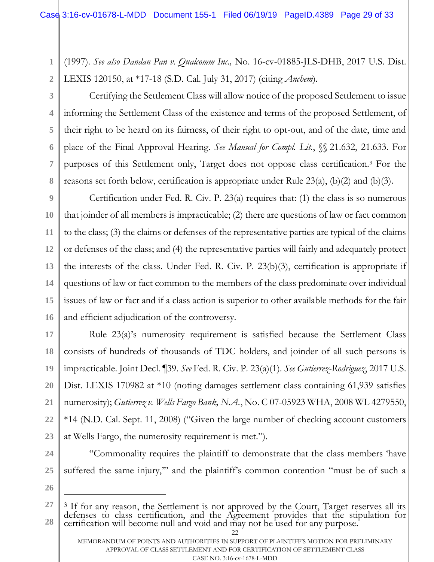(1997). *See also Dandan Pan v. Qualcomm Inc.,* No. 16-cv-01885-JLS-DHB, 2017 U.S. Dist. LEXIS 120150, at \*17-18 (S.D. Cal. July 31, 2017) (citing *Anchem*).

**2 3**

**4**

**5**

**6**

**7**

**8**

**1**

Certifying the Settlement Class will allow notice of the proposed Settlement to issue informing the Settlement Class of the existence and terms of the proposed Settlement, of their right to be heard on its fairness, of their right to opt-out, and of the date, time and place of the Final Approval Hearing. *See Manual for Compl. Lit.*, §§ 21.632, 21.633. For purposes of this Settlement only, Target does not oppose class certification.<sup>3</sup> For the reasons set forth below, certification is appropriate under Rule 23(a), (b)(2) and (b)(3).

**9 10 11 12 13 14 15 16** Certification under Fed. R. Civ. P. 23(a) requires that: (1) the class is so numerous that joinder of all members is impracticable; (2) there are questions of law or fact common to the class; (3) the claims or defenses of the representative parties are typical of the claims or defenses of the class; and (4) the representative parties will fairly and adequately protect the interests of the class. Under Fed. R. Civ. P. 23(b)(3), certification is appropriate if questions of law or fact common to the members of the class predominate over individual issues of law or fact and if a class action is superior to other available methods for the fair and efficient adjudication of the controversy.

**17 18 19 20 21 22 23** Rule 23(a)'s numerosity requirement is satisfied because the Settlement Class consists of hundreds of thousands of TDC holders, and joinder of all such persons is impracticable. Joint Decl. ¶39. *See* Fed. R. Civ. P. 23(a)(1). *See Gutierrez-Rodriguez*, 2017 U.S. Dist. LEXIS 170982 at \*10 (noting damages settlement class containing 61,939 satisfies numerosity); *Gutierrez v. Wells Fargo Bank, N.A.*, No. C 07-05923 WHA, 2008 WL 4279550, \*14 (N.D. Cal. Sept. 11, 2008) ("Given the large number of checking account customers at Wells Fargo, the numerosity requirement is met.").

- **24**
- **25**
- **26**

 $\overline{a}$ 

 $22$ 

suffered the same injury,"" and the plaintiff's common contention "must be of such a

"Commonality requires the plaintiff to demonstrate that the class members 'have

**<sup>27</sup> 28** <sup>3</sup> If for any reason, the Settlement is not approved by the Court, Target reserves all its defenses to class certification, and the Agreement provides that the stipulation for certification will become null and void and may not be used for any purpose.

MEMORANDUM OF POINTS AND AUTHORITIES IN SUPPORT OF PLAINTIFF'S MOTION FOR PRELIMINARY APPROVAL OF CLASS SETTLEMENT AND FOR CERTIFICATION OF SETTLEMENT CLASS CASE NO. 3:16-cv-1678-L-MDD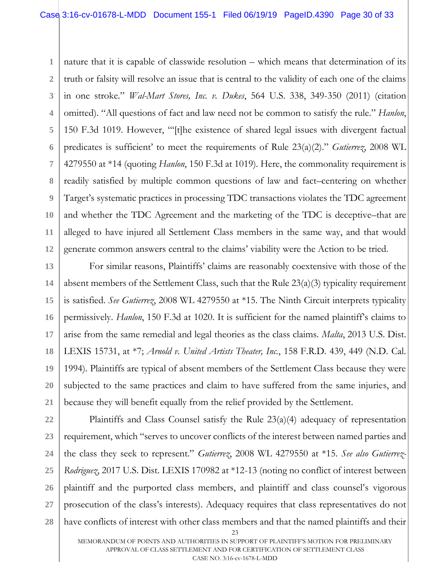**1 2 3 4 5 6 7 8 9 10 11 12** nature that it is capable of classwide resolution – which means that determination of its truth or falsity will resolve an issue that is central to the validity of each one of the claims in one stroke." *Wal-Mart Stores, Inc. v. Dukes*, 564 U.S. 338, 349-350 (2011) (citation omitted). "All questions of fact and law need not be common to satisfy the rule." *Hanlon*, 150 F.3d 1019. However, "'[t]he existence of shared legal issues with divergent factual predicates is sufficient' to meet the requirements of Rule 23(a)(2)." *Gutierrez*, 2008 WL 4279550 at \*14 (quoting *Hanlon*, 150 F.3d at 1019). Here, the commonality requirement is readily satisfied by multiple common questions of law and fact–centering on whether Target's systematic practices in processing TDC transactions violates the TDC agreement and whether the TDC Agreement and the marketing of the TDC is deceptive–that are alleged to have injured all Settlement Class members in the same way, and that would generate common answers central to the claims' viability were the Action to be tried.

**13 14 15 16 17 18 19 20 21** For similar reasons, Plaintiffs' claims are reasonably coextensive with those of the absent members of the Settlement Class, such that the Rule 23(a)(3) typicality requirement is satisfied. *See Gutierrez*, 2008 WL 4279550 at \*15. The Ninth Circuit interprets typicality permissively. *Hanlon*, 150 F.3d at 1020. It is sufficient for the named plaintiff's claims to arise from the same remedial and legal theories as the class claims. *Malta*, 2013 U.S. Dist. LEXIS 15731, at \*7; *Arnold v. United Artists Theater, Inc.*, 158 F.R.D. 439, 449 (N.D. Cal. 1994). Plaintiffs are typical of absent members of the Settlement Class because they were subjected to the same practices and claim to have suffered from the same injuries, and because they will benefit equally from the relief provided by the Settlement.

**22 23 24 25 26 27 28** Plaintiffs and Class Counsel satisfy the Rule 23(a)(4) adequacy of representation requirement, which "serves to uncover conflicts of the interest between named parties and the class they seek to represent." *Gutierrez*, 2008 WL 4279550 at \*15. *See also Gutierrez-Rodriguez*, 2017 U.S. Dist. LEXIS 170982 at \*12-13 (noting no conflict of interest between plaintiff and the purported class members, and plaintiff and class counsel's vigorous prosecution of the class's interests). Adequacy requires that class representatives do not have conflicts of interest with other class members and that the named plaintiffs and their

<sup>23</sup>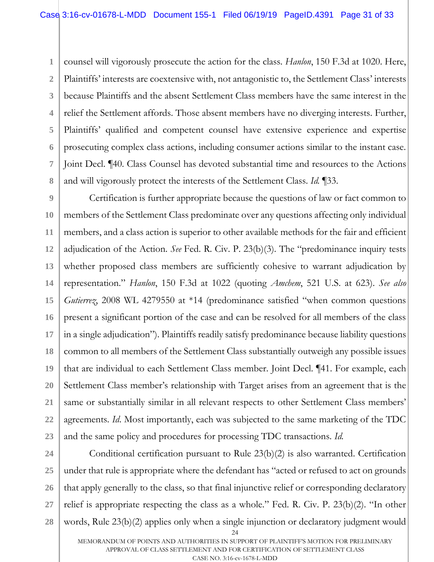**1 2 3 4 5 6 7 8** counsel will vigorously prosecute the action for the class. *Hanlon*, 150 F.3d at 1020. Here, Plaintiffs' interests are coextensive with, not antagonistic to, the Settlement Class' interests because Plaintiffs and the absent Settlement Class members have the same interest in the relief the Settlement affords. Those absent members have no diverging interests. Further, Plaintiffs' qualified and competent counsel have extensive experience and expertise prosecuting complex class actions, including consumer actions similar to the instant case. Joint Decl. ¶40. Class Counsel has devoted substantial time and resources to the Actions and will vigorously protect the interests of the Settlement Class. *Id.* ¶33.

**9 10 11 12 13 14 15 16 17 18 19 20 21 22 23** Certification is further appropriate because the questions of law or fact common to members of the Settlement Class predominate over any questions affecting only individual members, and a class action is superior to other available methods for the fair and efficient adjudication of the Action. *See* Fed. R. Civ. P. 23(b)(3). The "predominance inquiry tests whether proposed class members are sufficiently cohesive to warrant adjudication by representation." *Hanlon*, 150 F.3d at 1022 (quoting *Amchem*, 521 U.S. at 623). *See also Gutierrez*, 2008 WL 4279550 at \*14 (predominance satisfied "when common questions present a significant portion of the case and can be resolved for all members of the class in a single adjudication"). Plaintiffs readily satisfy predominance because liability questions common to all members of the Settlement Class substantially outweigh any possible issues that are individual to each Settlement Class member. Joint Decl. ¶41. For example, each Settlement Class member's relationship with Target arises from an agreement that is the same or substantially similar in all relevant respects to other Settlement Class members' agreements. *Id*. Most importantly, each was subjected to the same marketing of the TDC and the same policy and procedures for processing TDC transactions. *Id.* 

**24**

24 **25 26 27 28** Conditional certification pursuant to Rule 23(b)(2) is also warranted. Certification under that rule is appropriate where the defendant has "acted or refused to act on grounds that apply generally to the class, so that final injunctive relief or corresponding declaratory relief is appropriate respecting the class as a whole." Fed. R. Civ. P. 23(b)(2). "In other words, Rule 23(b)(2) applies only when a single injunction or declaratory judgment would

MEMORANDUM OF POINTS AND AUTHORITIES IN SUPPORT OF PLAINTIFF'S MOTION FOR PRELIMINARY APPROVAL OF CLASS SETTLEMENT AND FOR CERTIFICATION OF SETTLEMENT CLASS CASE NO. 3:16-cv-1678-L-MDD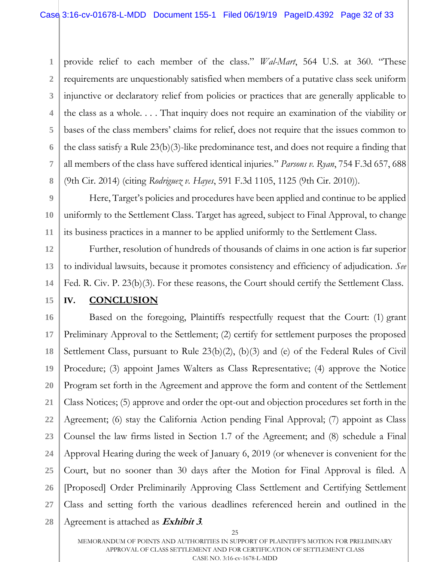**1 2 3 4 5 6 7 8** provide relief to each member of the class." *Wal-Mart*, 564 U.S. at 360. "These requirements are unquestionably satisfied when members of a putative class seek uniform injunctive or declaratory relief from policies or practices that are generally applicable to the class as a whole. . . . That inquiry does not require an examination of the viability or bases of the class members' claims for relief, does not require that the issues common to the class satisfy a Rule 23(b)(3)-like predominance test, and does not require a finding that all members of the class have suffered identical injuries." *Parsons v. Ryan*, 754 F.3d 657, 688 (9th Cir. 2014) (citing *Rodriguez v. Hayes*, 591 F.3d 1105, 1125 (9th Cir. 2010)).

**9 10 11** Here, Target's policies and procedures have been applied and continue to be applied uniformly to the Settlement Class. Target has agreed, subject to Final Approval, to change its business practices in a manner to be applied uniformly to the Settlement Class.

Further, resolution of hundreds of thousands of claims in one action is far superior to individual lawsuits, because it promotes consistency and efficiency of adjudication. *See* Fed. R. Civ. P. 23(b)(3). For these reasons, the Court should certify the Settlement Class.

**15**

**12**

**13**

**14**

# **IV. CONCLUSION**

**16 17 18 19 20 21 22 23 24 25 26 27 28** Based on the foregoing, Plaintiffs respectfully request that the Court: (1) grant Preliminary Approval to the Settlement; (2) certify for settlement purposes the proposed Settlement Class, pursuant to Rule 23(b)(2), (b)(3) and (e) of the Federal Rules of Civil Procedure; (3) appoint James Walters as Class Representative; (4) approve the Notice Program set forth in the Agreement and approve the form and content of the Settlement Class Notices; (5) approve and order the opt-out and objection procedures set forth in the Agreement; (6) stay the California Action pending Final Approval; (7) appoint as Class Counsel the law firms listed in Section 1.7 of the Agreement; and (8) schedule a Final Approval Hearing during the week of January 6, 2019 (or whenever is convenient for the Court, but no sooner than 30 days after the Motion for Final Approval is filed. A [Proposed] Order Preliminarily Approving Class Settlement and Certifying Settlement Class and setting forth the various deadlines referenced herein and outlined in the Agreement is attached as **Exhibit 3**.

MEMORANDUM OF POINTS AND AUTHORITIES IN SUPPORT OF PLAINTIFF'S MOTION FOR PRELIMINARY APPROVAL OF CLASS SETTLEMENT AND FOR CERTIFICATION OF SETTLEMENT CLASS CASE NO. 3:16-cv-1678-L-MDD

<sup>25</sup>